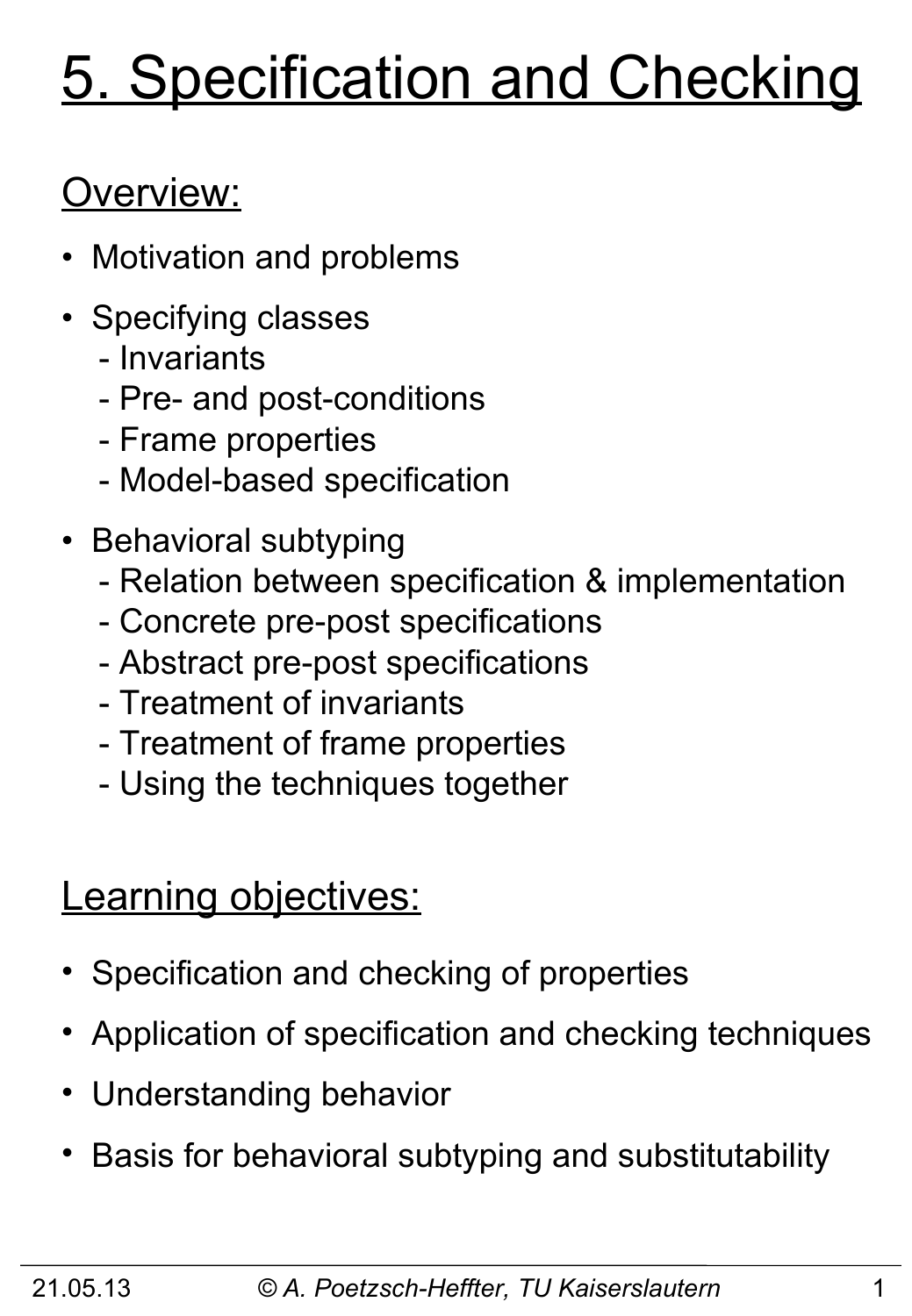# 5. Specification and Checking

# Overview:

- Motivation and problems
- Specifying classes
	- Invariants
	- Pre- and post-conditions
	- Frame properties
	- Model-based specification
- Behavioral subtyping
	- Relation between specification & implementation
	- Concrete pre-post specifications
	- Abstract pre-post specifications
	- Treatment of invariants
	- Treatment of frame properties
	- Using the techniques together

### **Learning objectives:**

- Specification and checking of properties
- Application of specification and checking techniques
- Understanding behavior
- Basis for behavioral subtyping and substitutability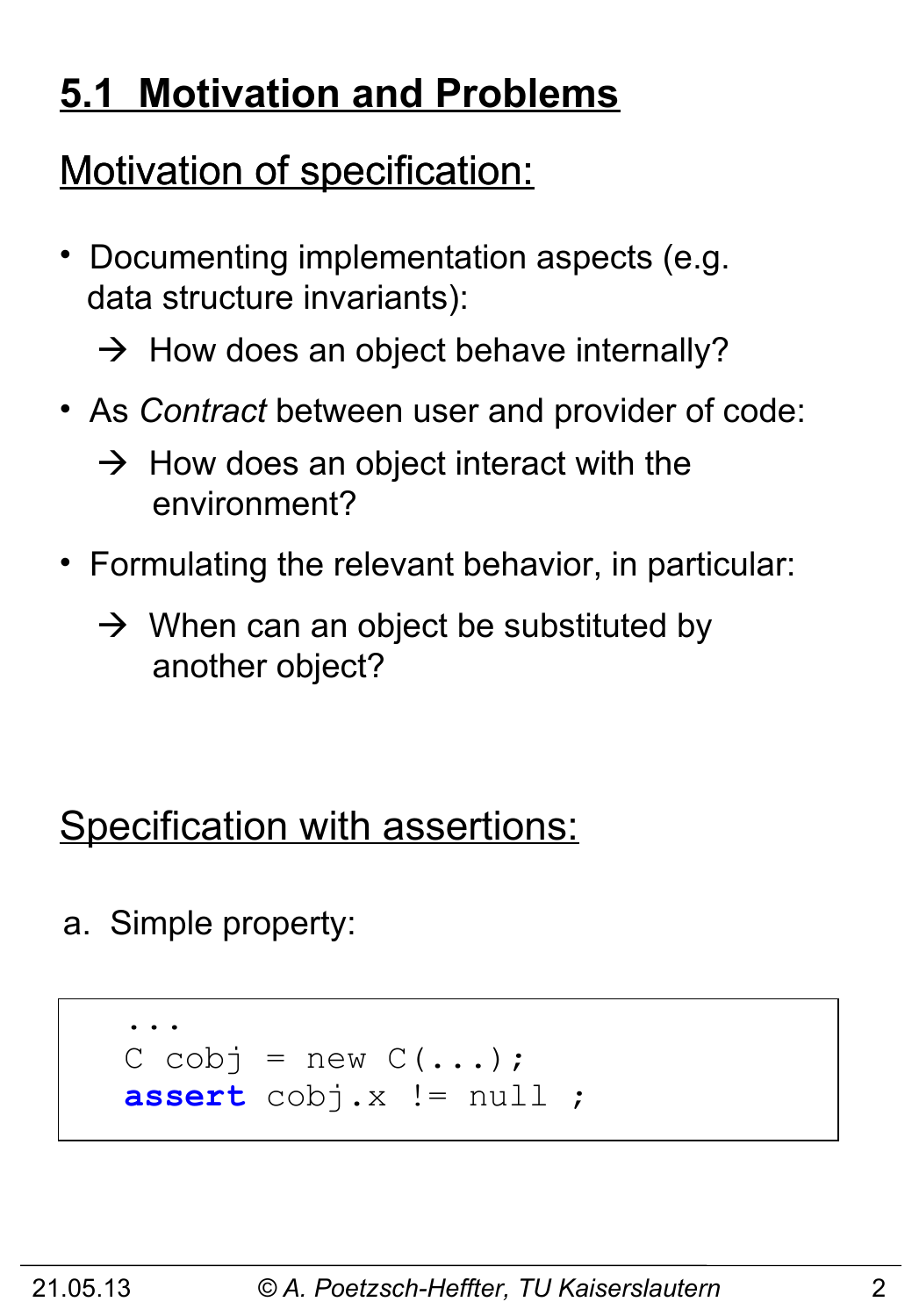# **5.1 Motivation and Problems**

# Motivation of specification:

- Documenting implementation aspects (e.g. data structure invariants):
	- $\rightarrow$  How does an object behave internally?
- As *Contract* between user and provider of code:
	- $\rightarrow$  How does an object interact with the environment?
- Formulating the relevant behavior, in particular:
	- $\rightarrow$  When can an object be substituted by another object?

# Specification with assertions:

a. Simple property:

```
 ...
   C cobj = new C(\ldots); assert cobj.x != null ;
```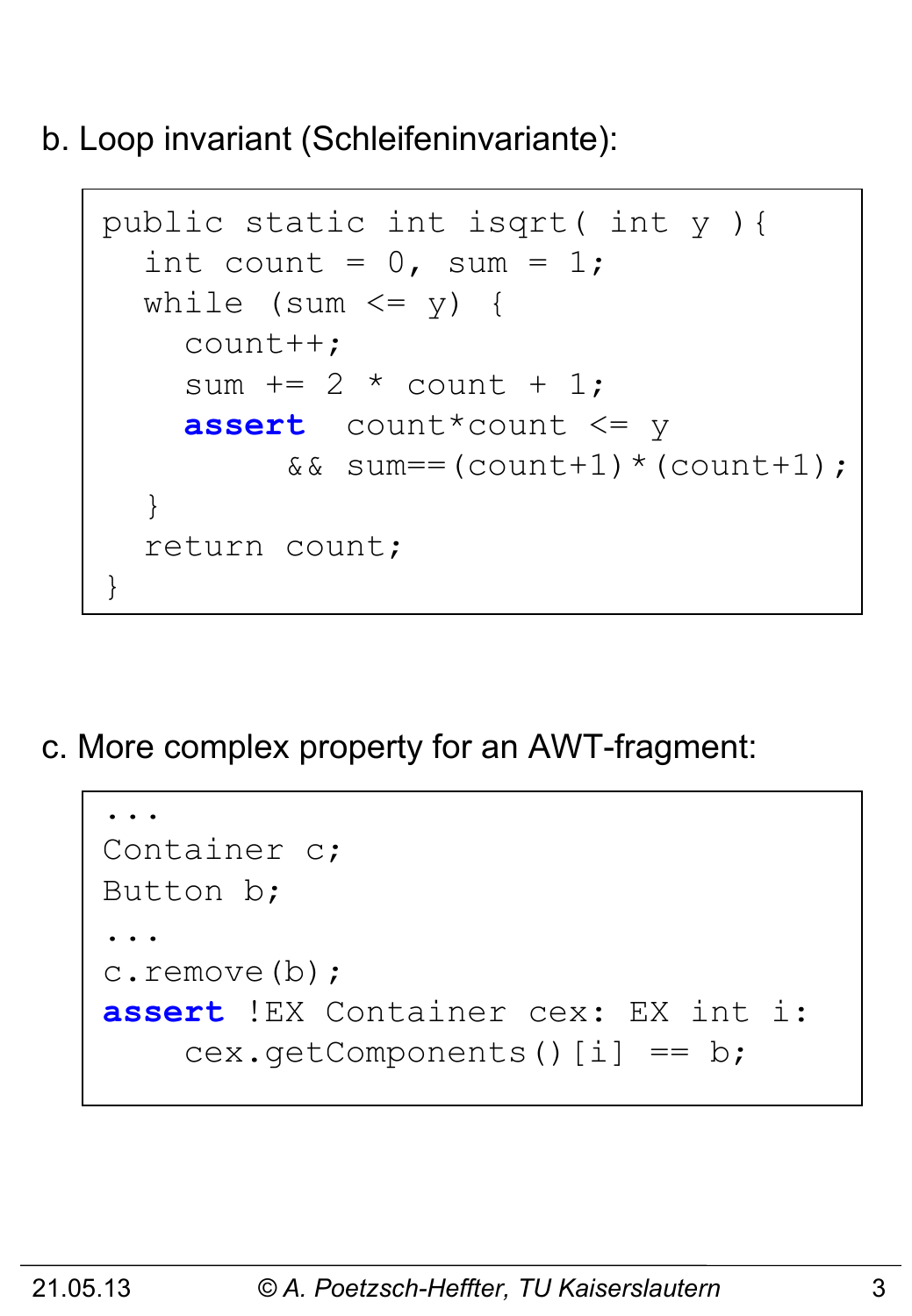b. Loop invariant (Schleifeninvariante):

```
 public static int isqrt( int y ){
      int count = 0, sum = 1;
      while (sum \leq y) {
          count++;
         sum += 2 * count + 1; assert count*count <= y 
                &\&\; sum = (count + 1) * (count + 1);\begin{pmatrix} 1 & 1 \\ 1 & 1 \end{pmatrix} return count;
     }
```
c. More complex property for an AWT-fragment:

```
 ...
    Container c;
   Button b;
 ...
    c.remove(b);
    assert !EX Container cex: EX int i:
       cex.getComponents()[i] == b;
```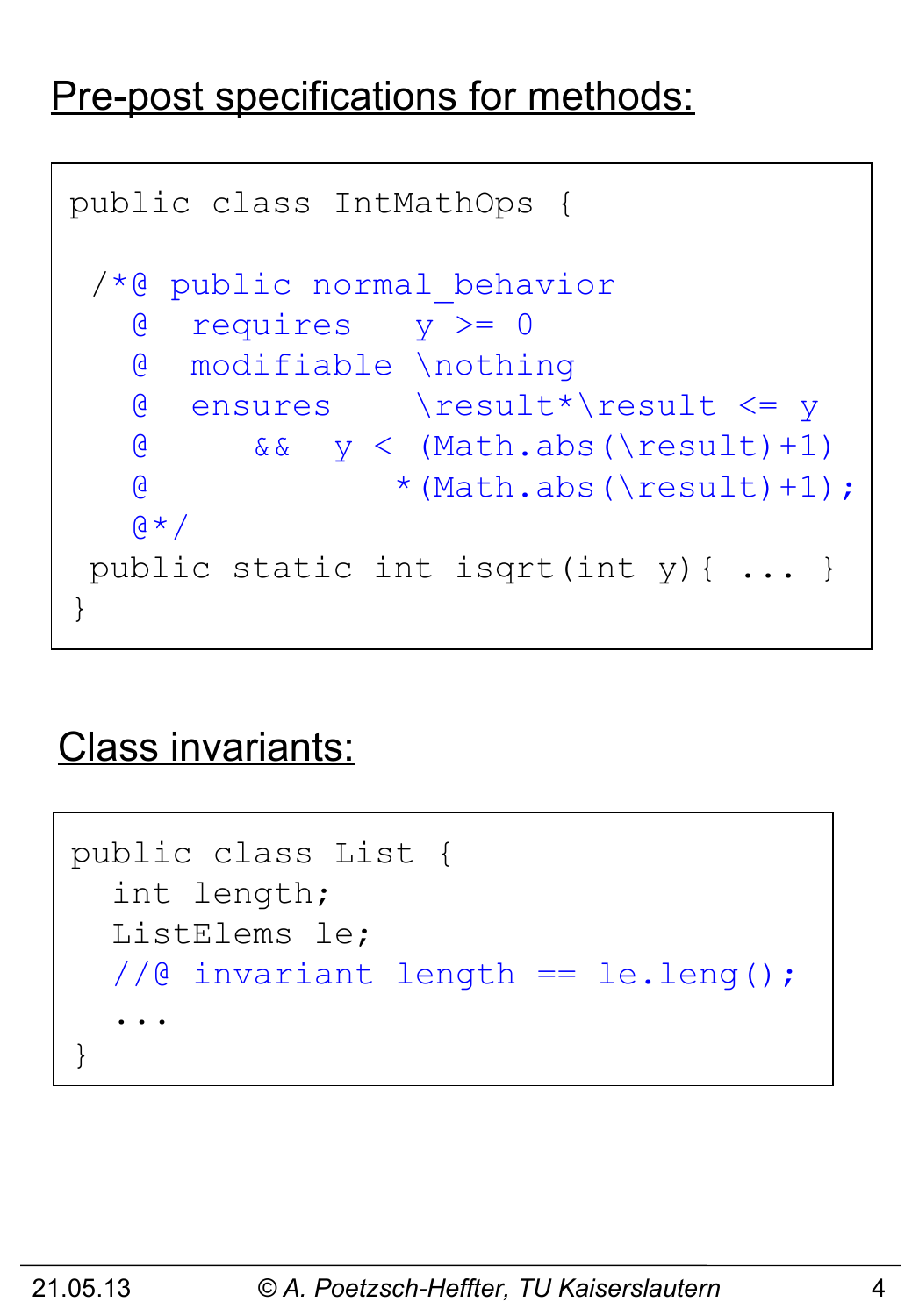#### Pre-post specifications for methods:

```
public class IntMathOps {
 /*@ public normal_behavior
    @ requires y >= 0
    @ modifiable \nothing
    @ ensures \result*\result <= y
   \& & \& y < (Math.abs(\result)+1)
   \textcircled{ } * (Math.abs(\result)+1);
   \alpha \star /public static int isqrt(int y){ ... }
}
```
#### Class invariants:

```
public class List {
    int length;
    ListElems le;
    //@ invariant length == le.leng();
 ...
 }
```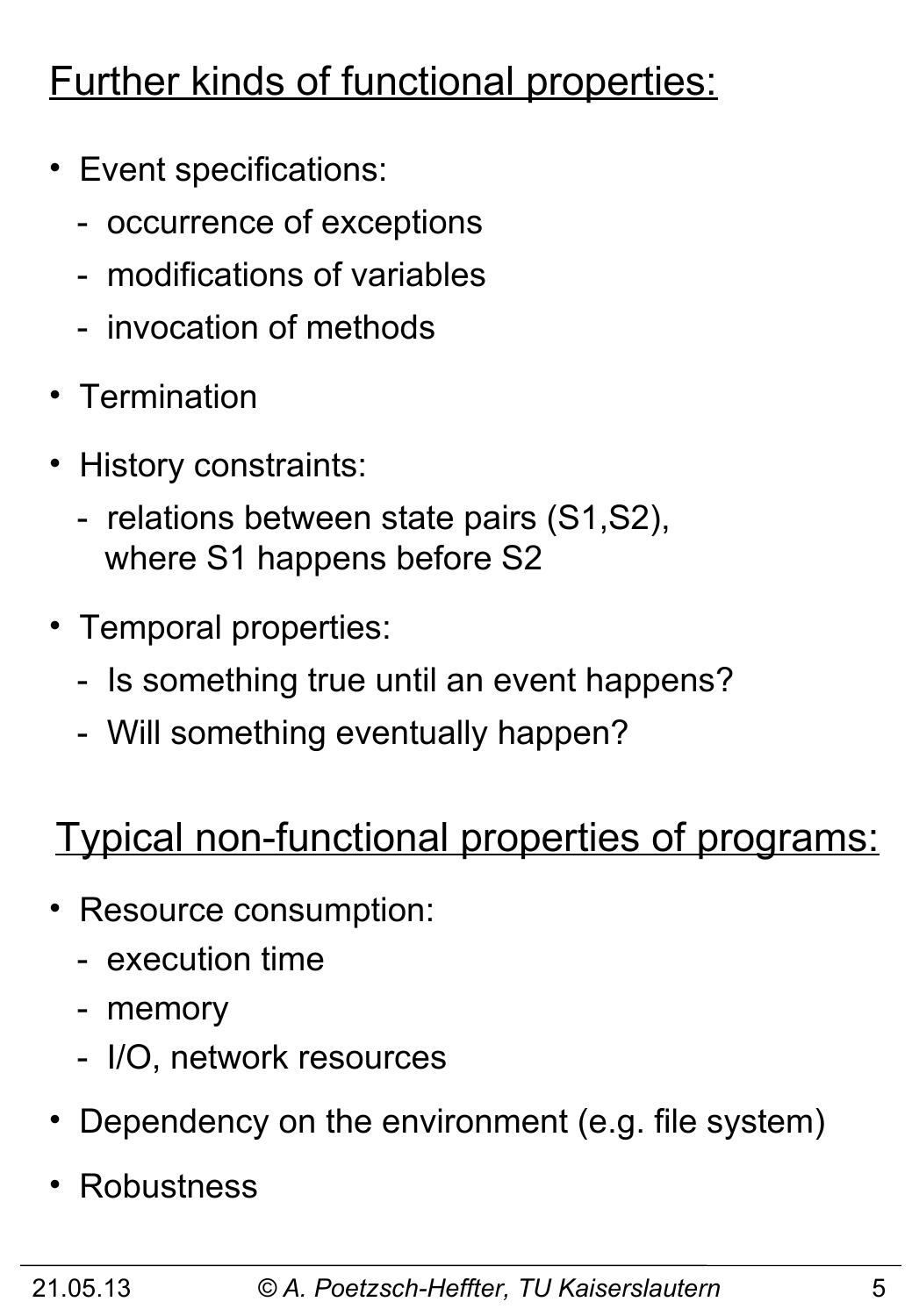# Further kinds of functional properties:

- Event specifications:
	- occurrence of exceptions
	- modifications of variables
	- invocation of methods
- Termination
- History constraints:
	- relations between state pairs (S1,S2), where S1 happens before S2
- Temporal properties:
	- Is something true until an event happens?
	- Will something eventually happen?

# Typical non-functional properties of programs:

- Resource consumption:
	- execution time
	- memory
	- I/O, network resources
- Dependency on the environment (e.g. file system)
- **Robustness**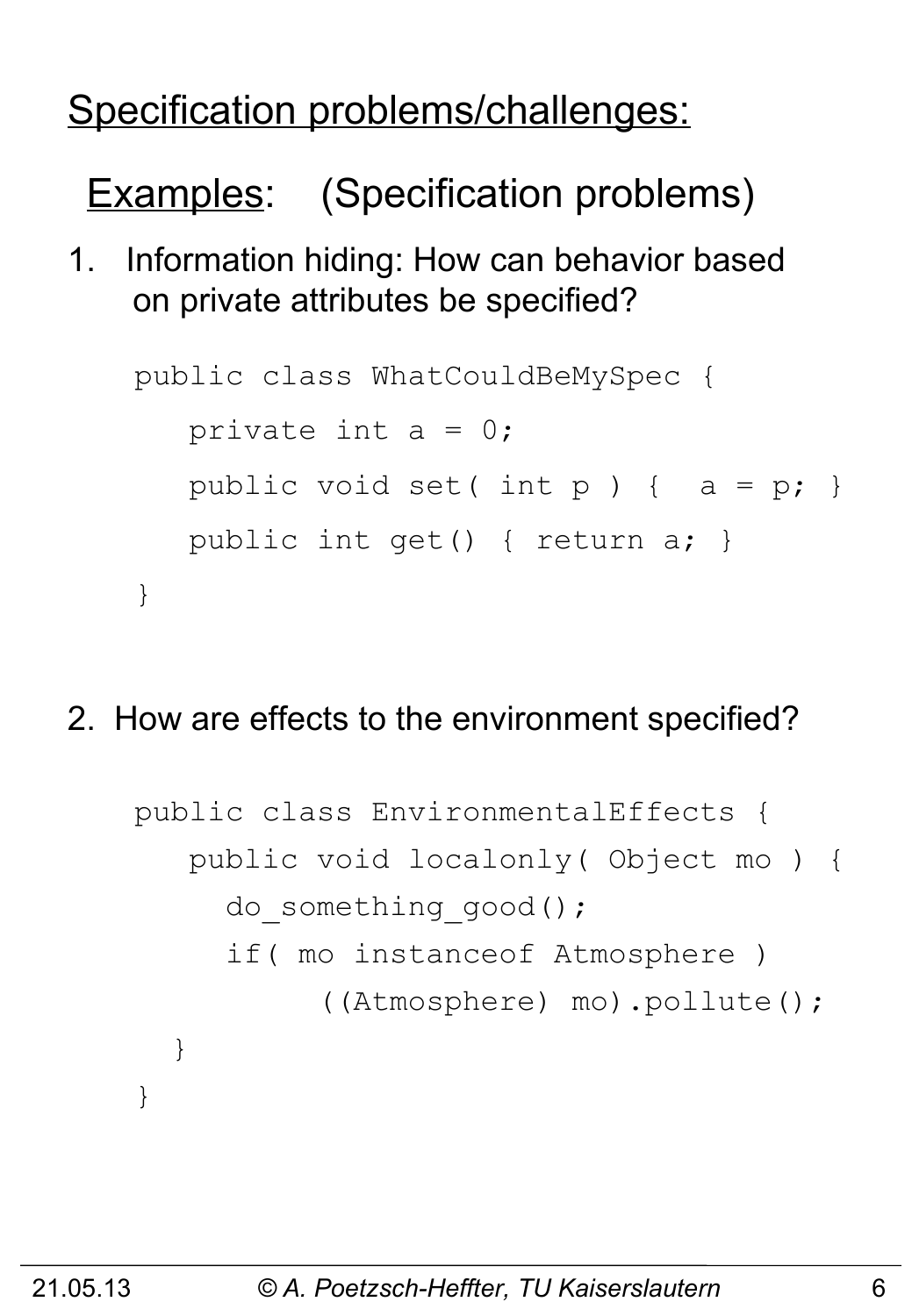# Specification problems/challenges:

Examples: (Specification problems)

1. Information hiding: How can behavior based on private attributes be specified?

```
public class WhatCouldBeMySpec {
   private int a = 0;
   public void set( int p ) { a = p; }
    public int get() { return a; }
}
```
2. How are effects to the environment specified?

```
public class EnvironmentalEffects {
    public void localonly( Object mo ) {
     do something good();
      if( mo instanceof Atmosphere )
            ((Atmosphere) mo).pollute();
   }
}
```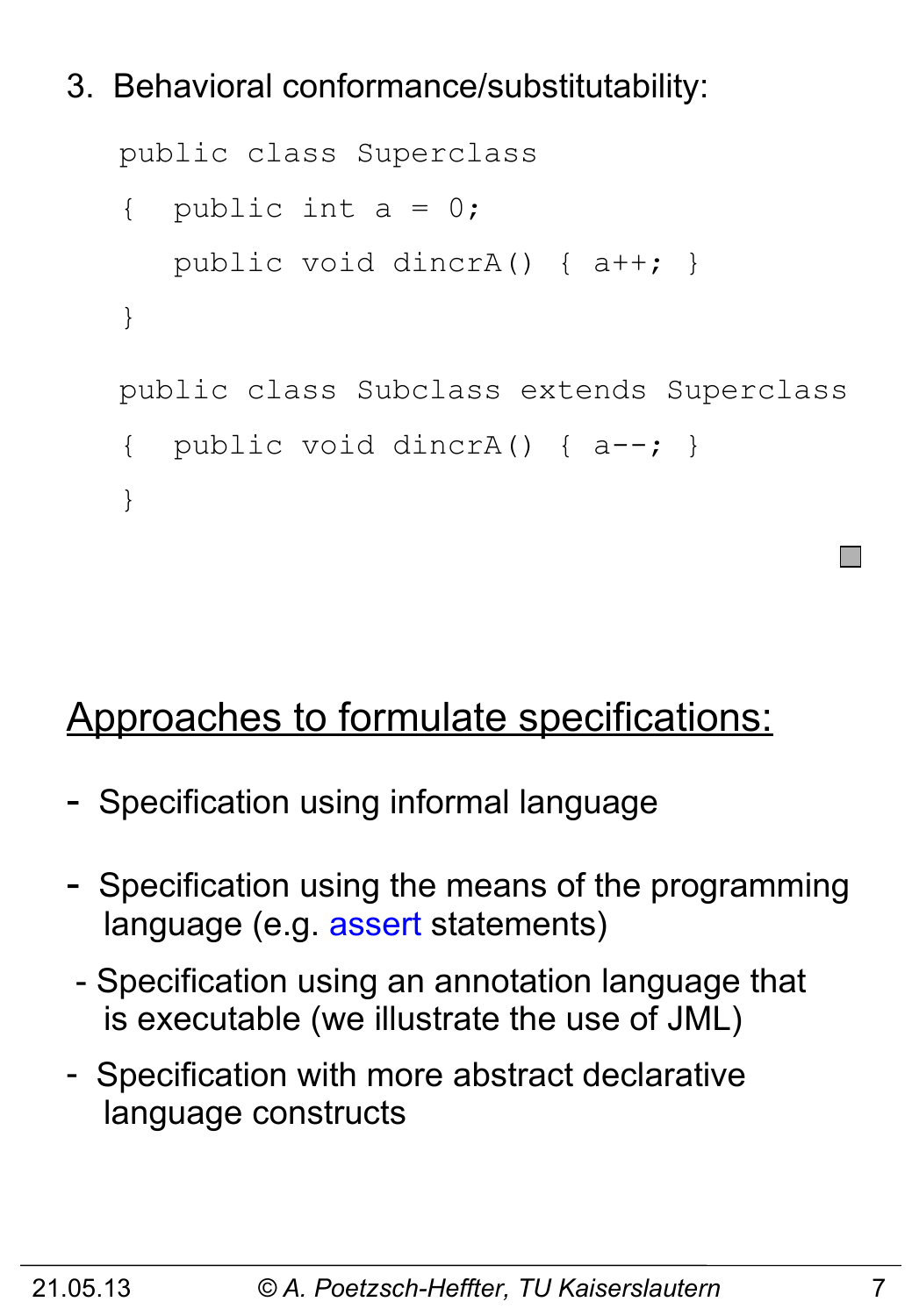#### 3. Behavioral conformance/substitutability:

```
public class Superclass 
{ public int a = 0;
    public void dincrA() { a++; }
}
public class Subclass extends Superclass
{ public void dincrA() { a--; }
}
```
#### Approaches to formulate specifications:

- Specification using informal language
- Specification using the means of the programming language (e.g. assert statements)
- Specification using an annotation language that is executable (we illustrate the use of JML)
- Specification with more abstract declarative language constructs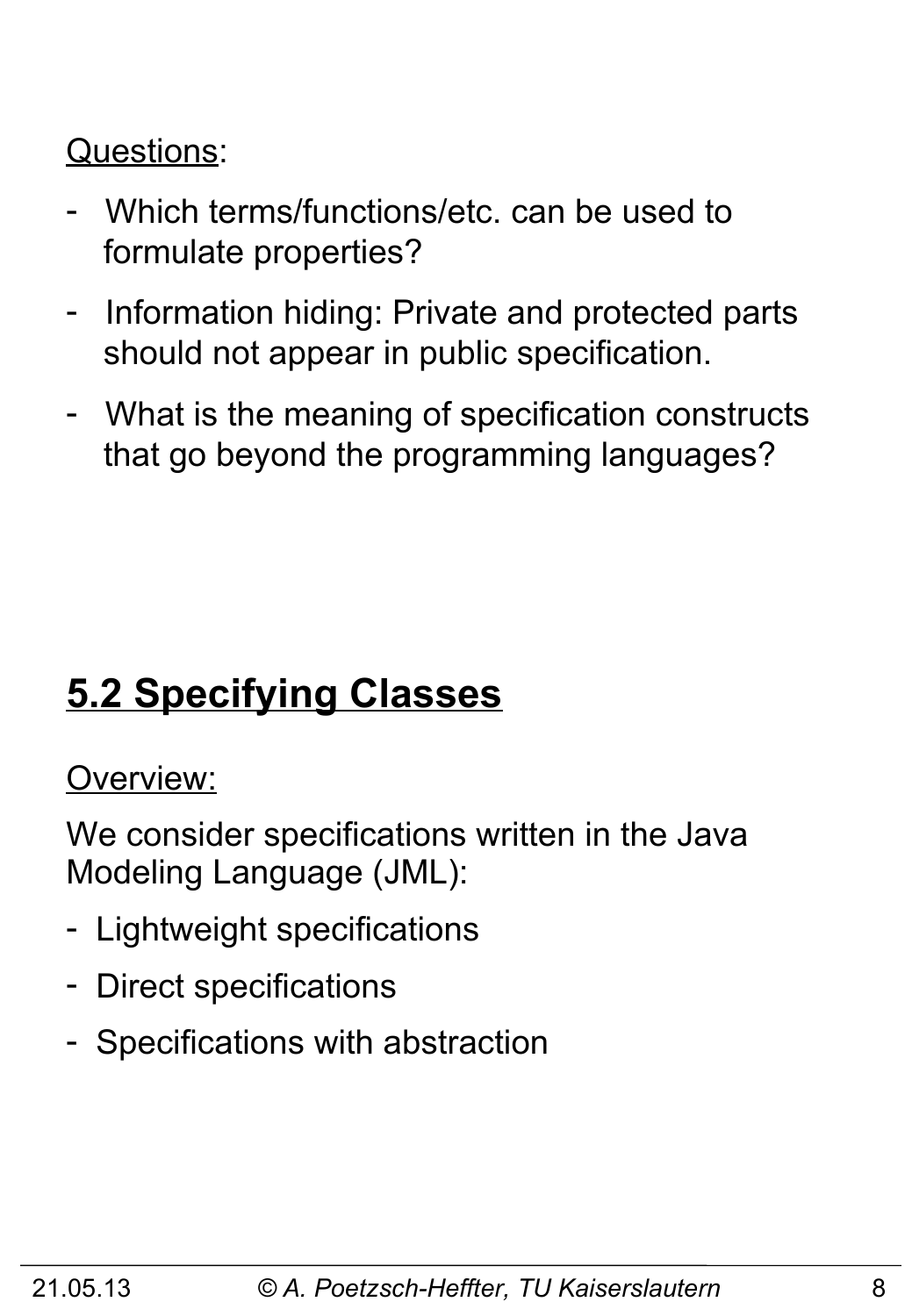#### Questions:

- Which terms/functions/etc. can be used to formulate properties?
- Information hiding: Private and protected parts should not appear in public specification.
- What is the meaning of specification constructs that go beyond the programming languages?

# **5.2 Specifying Classes**

#### Overview:

We consider specifications written in the Java Modeling Language (JML):

- Lightweight specifications
- Direct specifications
- Specifications with abstraction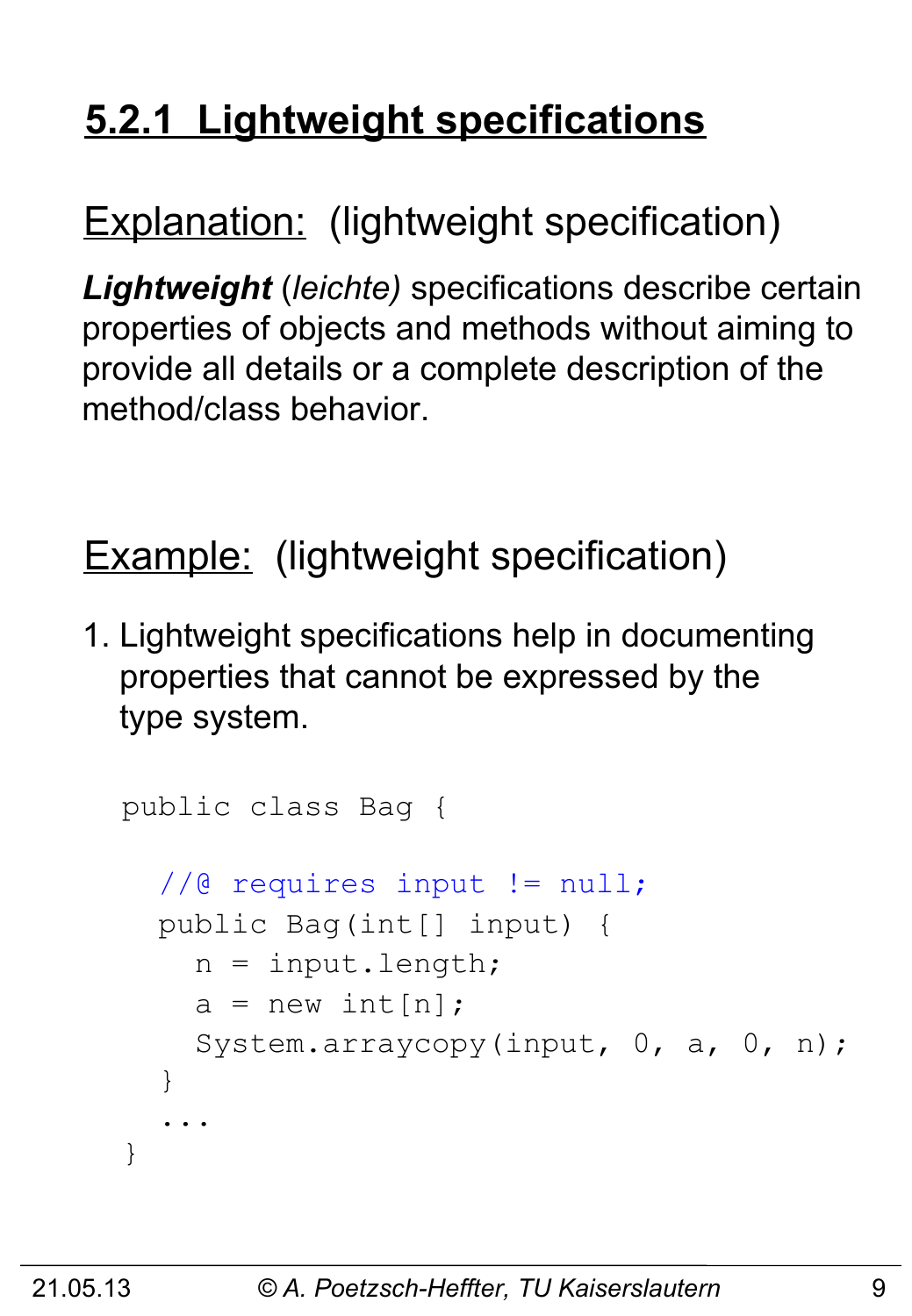# **5.2.1 Lightweight specifications**

# Explanation: (lightweight specification)

*Lightweight* (*leichte)* specifications describe certain properties of objects and methods without aiming to provide all details or a complete description of the method/class behavior.

# Example: (lightweight specification)

1. Lightweight specifications help in documenting properties that cannot be expressed by the type system.

```
public class Bag {
   //@ requires input != null;
   public Bag(int[] input) {
    n = input.length;a = new int[n]; System.arraycopy(input, 0, a, 0, n);
   }
 ...
}
```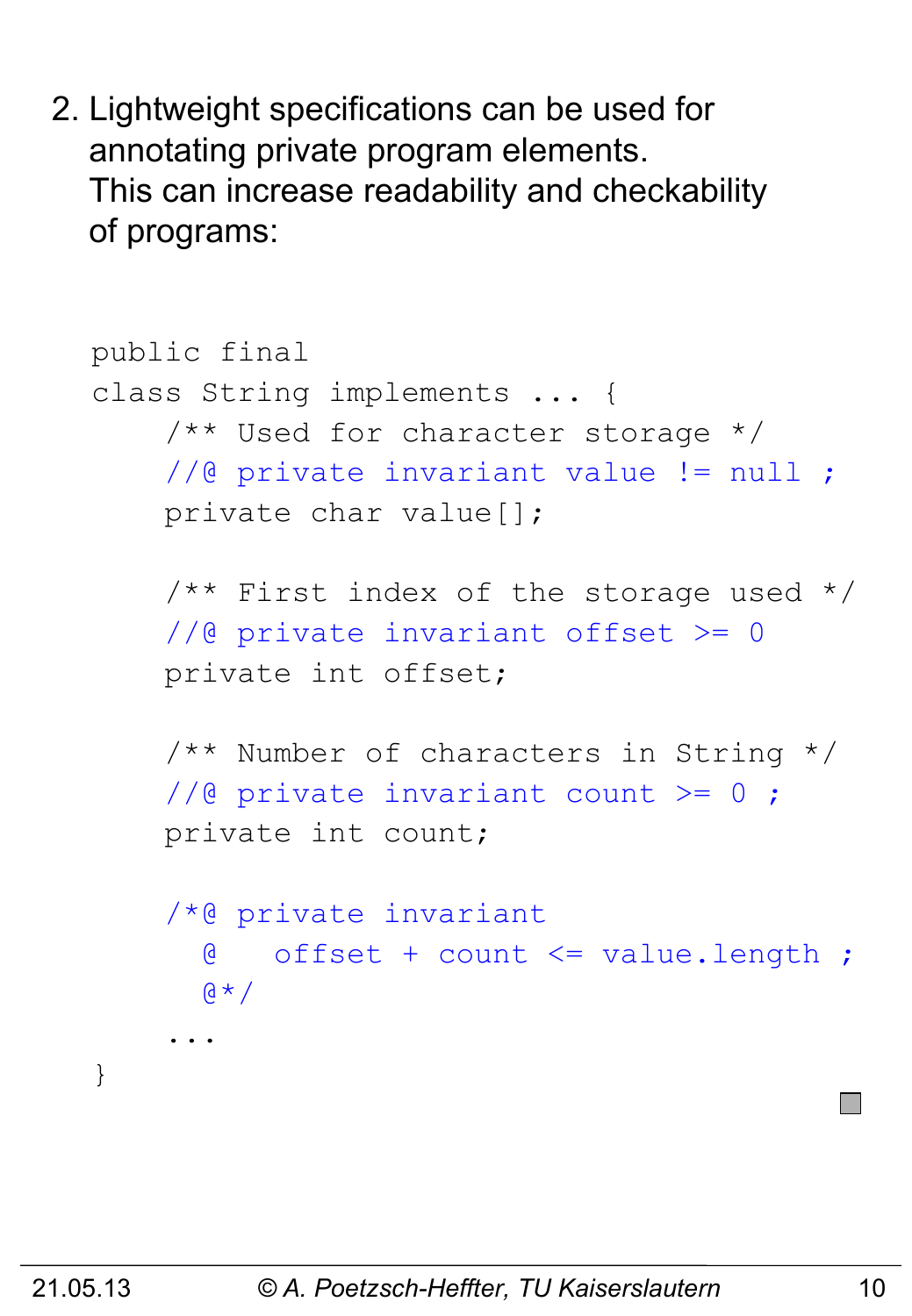2. Lightweight specifications can be used for annotating private program elements. This can increase readability and checkability of programs:

```
public final
class String implements ... {
     /** Used for character storage */
     //@ private invariant value != null ;
     private char value[];
    /** First index of the storage used */ //@ private invariant offset >= 0
     private int offset;
     /** Number of characters in String */
    //@ private invariant count >= 0;
     private int count;
     /*@ private invariant 
       @ offset + count <= value.length ;
      A + A ...
}
```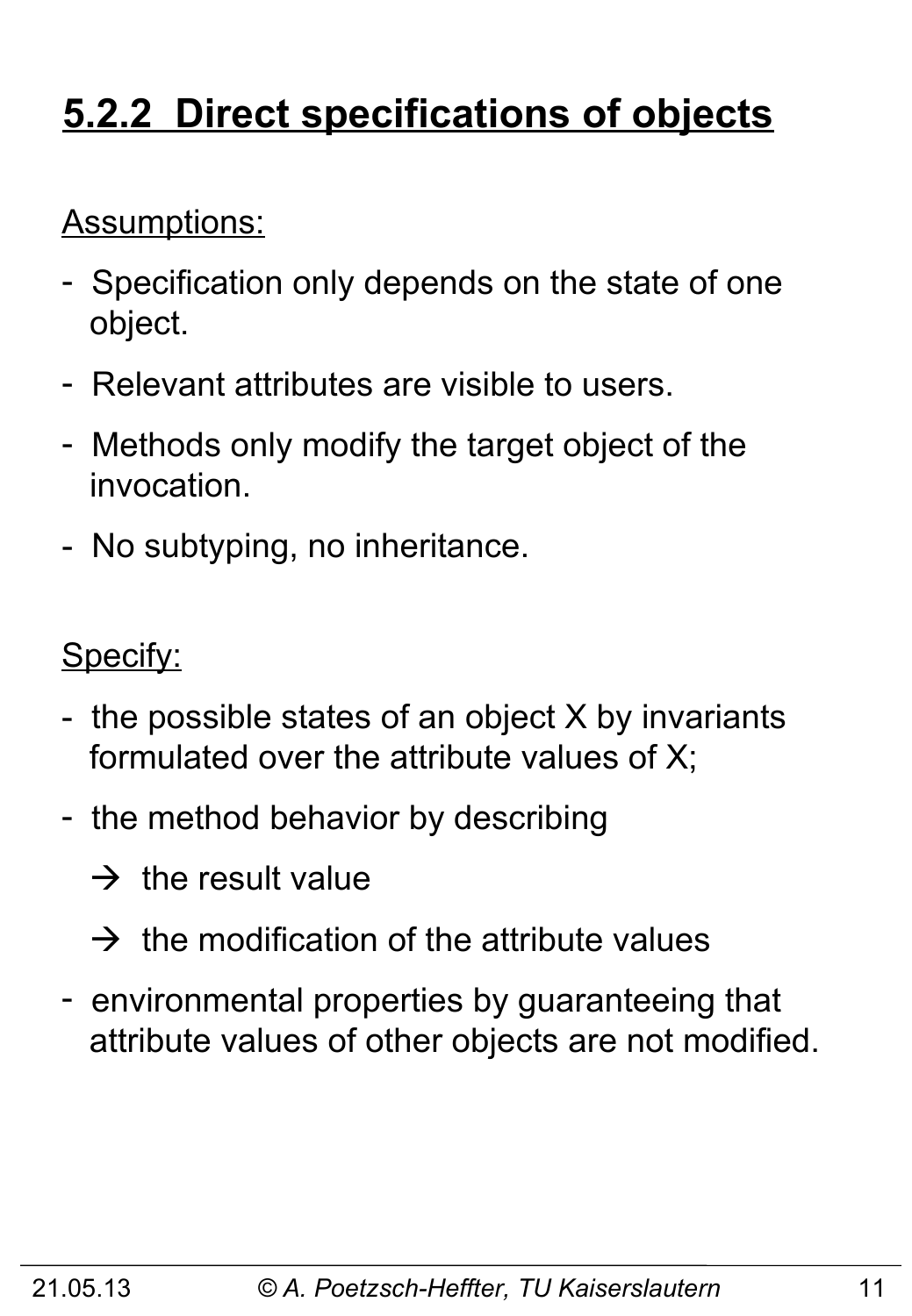# **5.2.2 Direct specifications of objects**

#### Assumptions:

- Specification only depends on the state of one object.
- Relevant attributes are visible to users.
- Methods only modify the target object of the invocation.
- No subtyping, no inheritance.

Specify:

- the possible states of an object X by invariants formulated over the attribute values of X;
- the method behavior by describing
	- $\rightarrow$  the result value
	- $\rightarrow$  the modification of the attribute values
- environmental properties by guaranteeing that attribute values of other objects are not modified.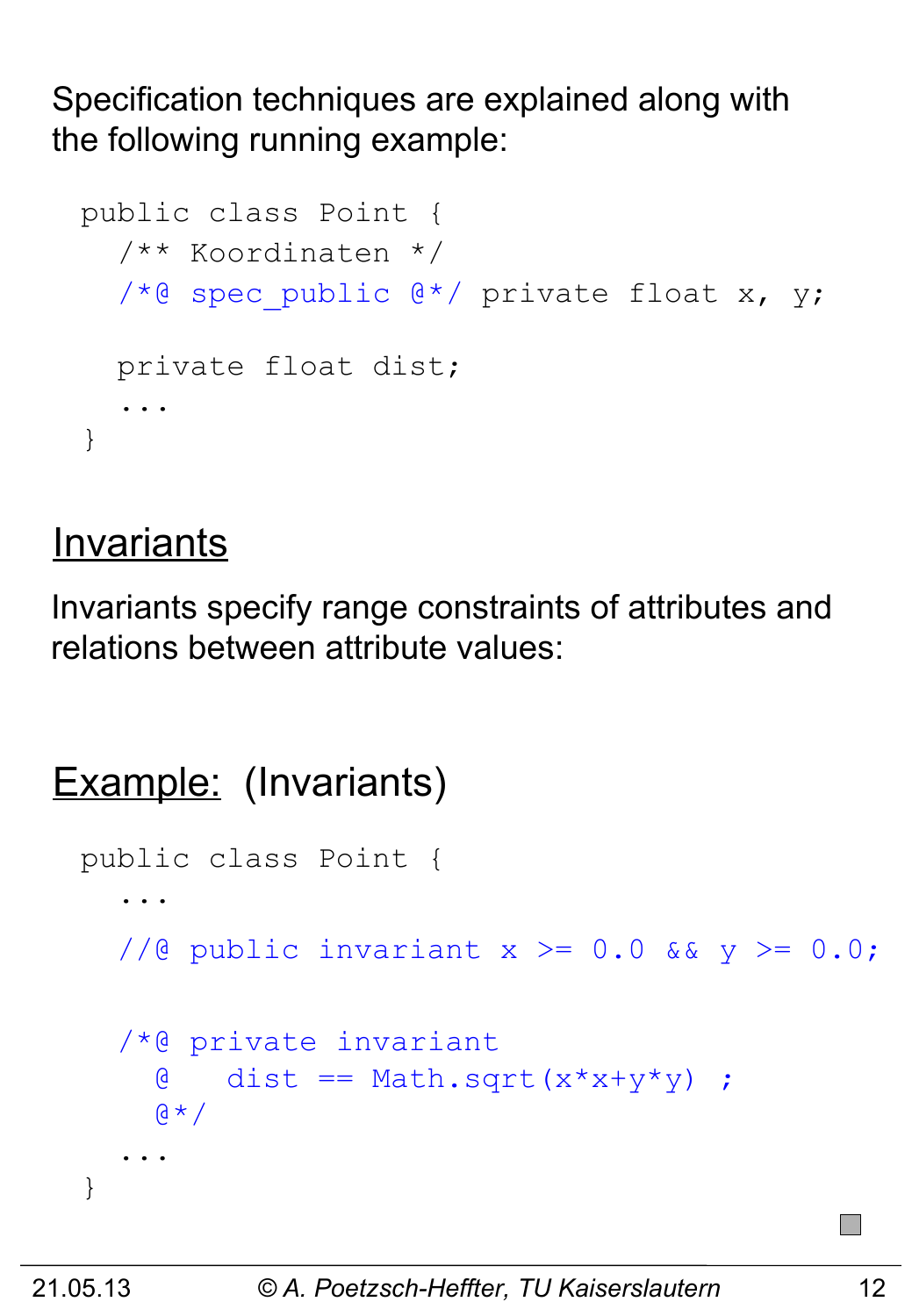Specification techniques are explained along with the following running example:

```
public class Point {
   /** Koordinaten */
  /*@ spec public @*/ private float x, y;
   private float dist;
 ...
}
```
#### **Invariants**

Invariants specify range constraints of attributes and relations between attribute values:

```
Example: (Invariants)
 public class Point {
  ...
    //@ public invariant x \ge 0.0 && y \ge 0.0;
     /*@ private invariant 
      \phi dist == Math.sqrt(x*x+y*y) ;
      \alpha \star / ...
  }
```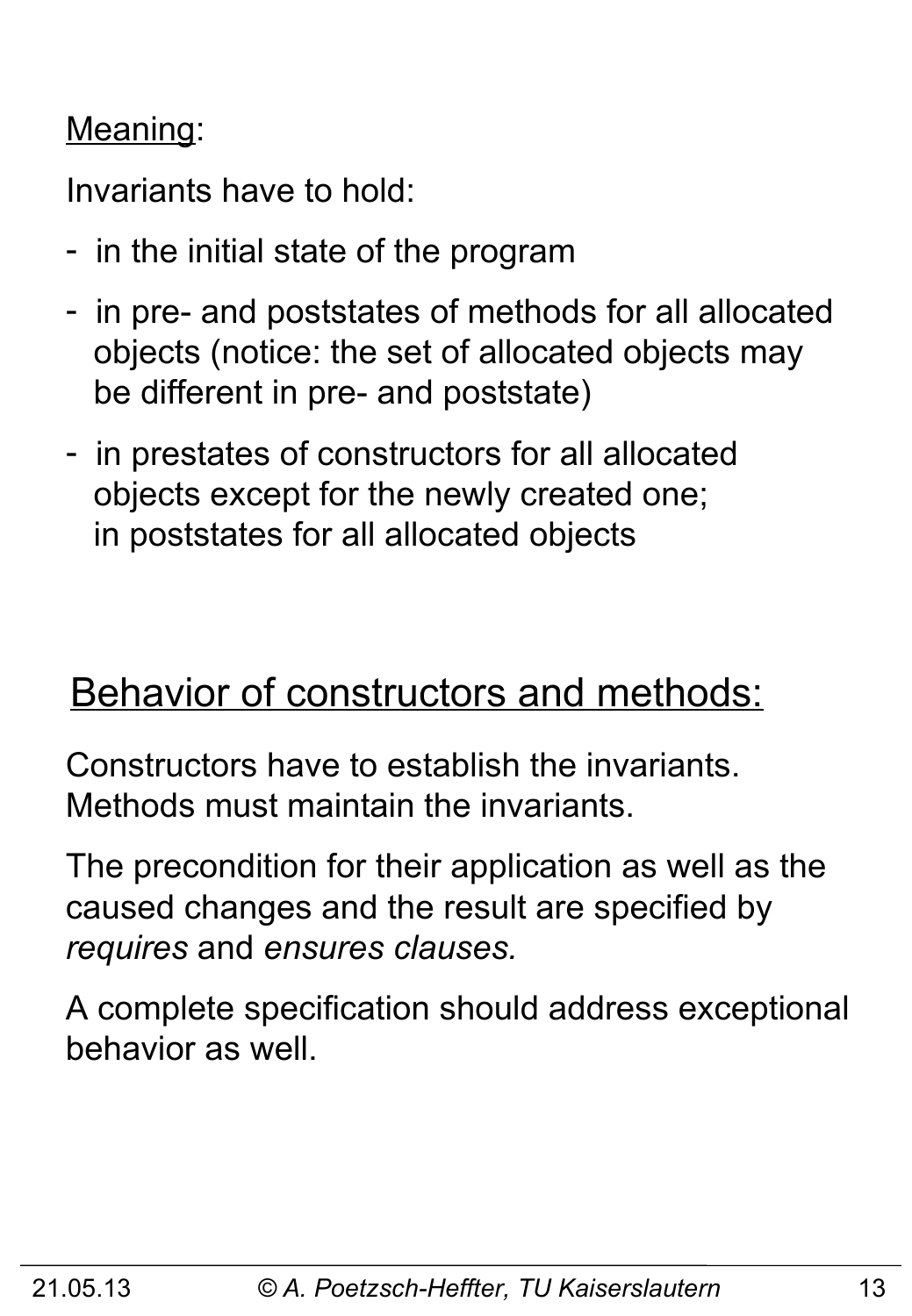#### Meaning:

Invariants have to hold:

- in the initial state of the program
- in pre- and poststates of methods for all allocated objects (notice: the set of allocated objects may be different in pre- and poststate)
- in prestates of constructors for all allocated objects except for the newly created one; in poststates for all allocated objects

### Behavior of constructors and methods:

Constructors have to establish the invariants. Methods must maintain the invariants.

The precondition for their application as well as the caused changes and the result are specified by *requires* and *ensures clauses.* 

A complete specification should address exceptional behavior as well.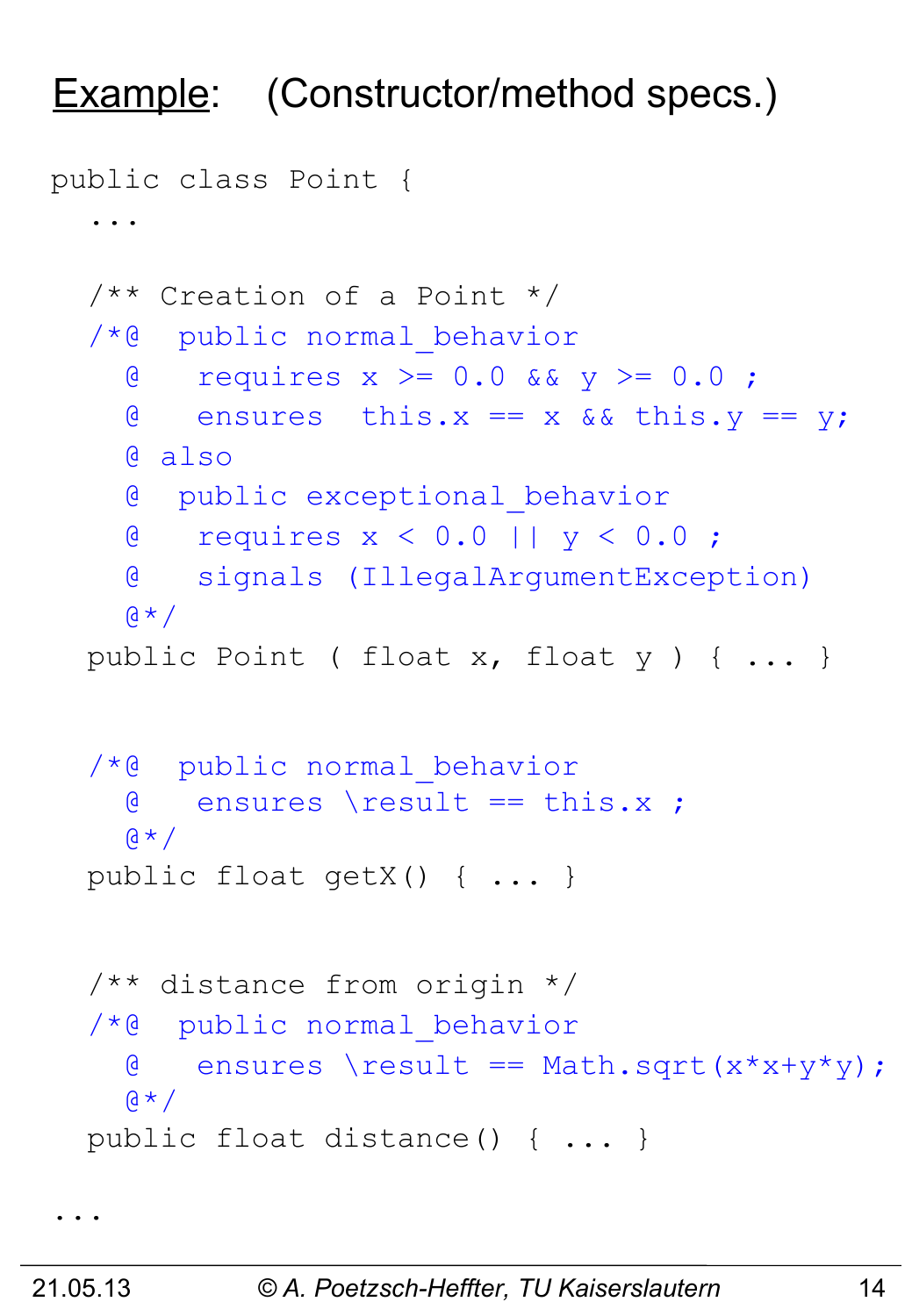### Example: (Constructor/method specs.)

```
public class Point {
 ... 
   /** Creation of a Point */
   /*@ public normal_behavior
    \alpha requires x >= 0.0 && y >= 0.0;
    \theta ensures this.x == x && this.y == y;
     @ also
     @ public exceptional_behavior
     @ requires x < 0.0 || y < 0.0 ;
     @ signals (IllegalArgumentException)
    A * A public Point ( float x, float y ) { ... }
   /*@ public normal_behavior
     @ ensures \result == this.x ;
    \alpha \star / public float getX() { ... }
   /** distance from origin */
   /*@ public normal_behavior
    \theta ensures \result == Math.sqrt(x*x+y*y);
    \mathfrak{g} \star / public float distance() { ... }
```

```
...
```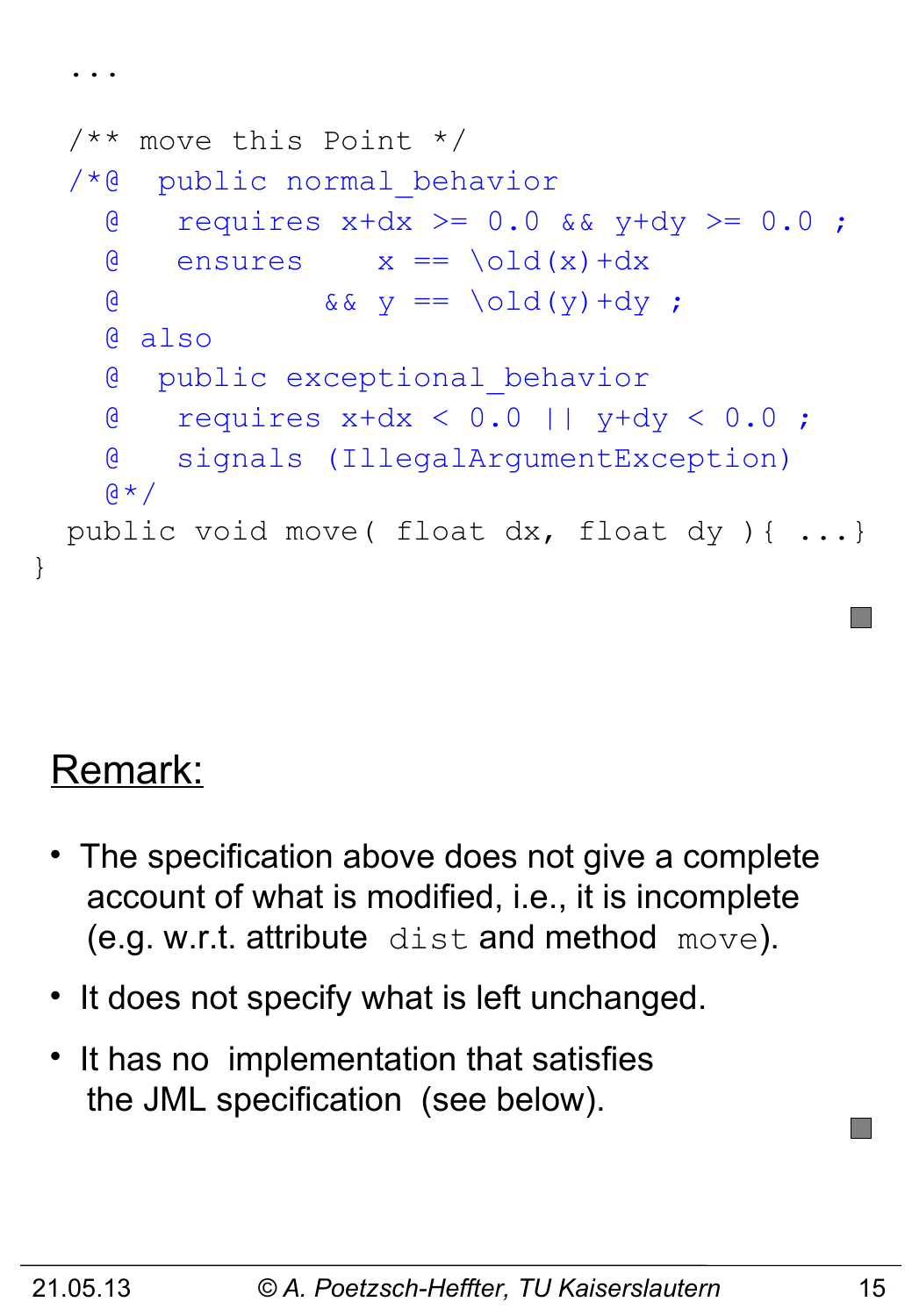```
 /** move this Point */
 /*@ public normal_behavior
  \theta requires x+dx >= 0.0 && y+dy >= 0.0;
  \theta ensures x == \old(x) + dx& \& \& \& \& \& \end{bmatrix} = \begin{bmatrix} 0 \end{bmatrix} \begin{bmatrix} 0 \end{bmatrix} + dy ; @ also
   @ public exceptional_behavior
   @ requires x+dx < 0.0 || y+dy < 0.0 ;
   @ signals (IllegalArgumentException)
  Q \star / public void move( float dx, float dy ){ ...}
```
# Remark:

}

...

- The specification above does not give a complete account of what is modified, i.e., it is incomplete (e.g. w.r.t. attribute dist and method move).
- It does not specify what is left unchanged.
- It has no implementation that satisfies the JML specification (see below).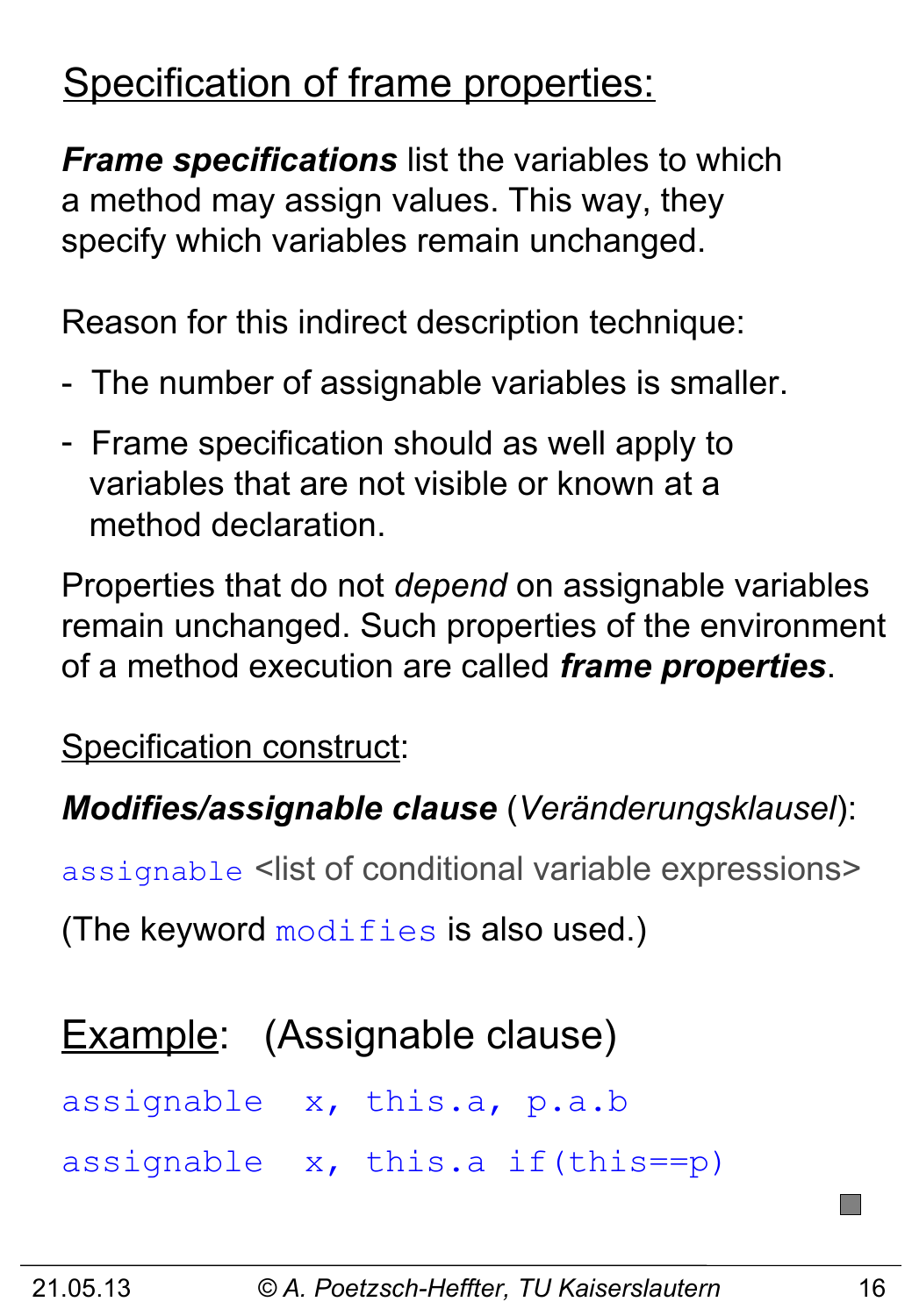# Specification of frame properties:

*Frame specifications* list the variables to which a method may assign values. This way, they specify which variables remain unchanged.

Reason for this indirect description technique:

- The number of assignable variables is smaller.
- Frame specification should as well apply to variables that are not visible or known at a method declaration.

Properties that do not *depend* on assignable variables remain unchanged. Such properties of the environment of a method execution are called *frame properties*.

Specification construct:

#### *Modifies/assignable clause* (*Veränderungsklausel*):

assignable <list of conditional variable expressions>

(The keyword  $\text{modifies}$  is also used.)

#### Example: (Assignable clause)

assignable x, this.a, p.a.b

assignable x, this.a if(this==p)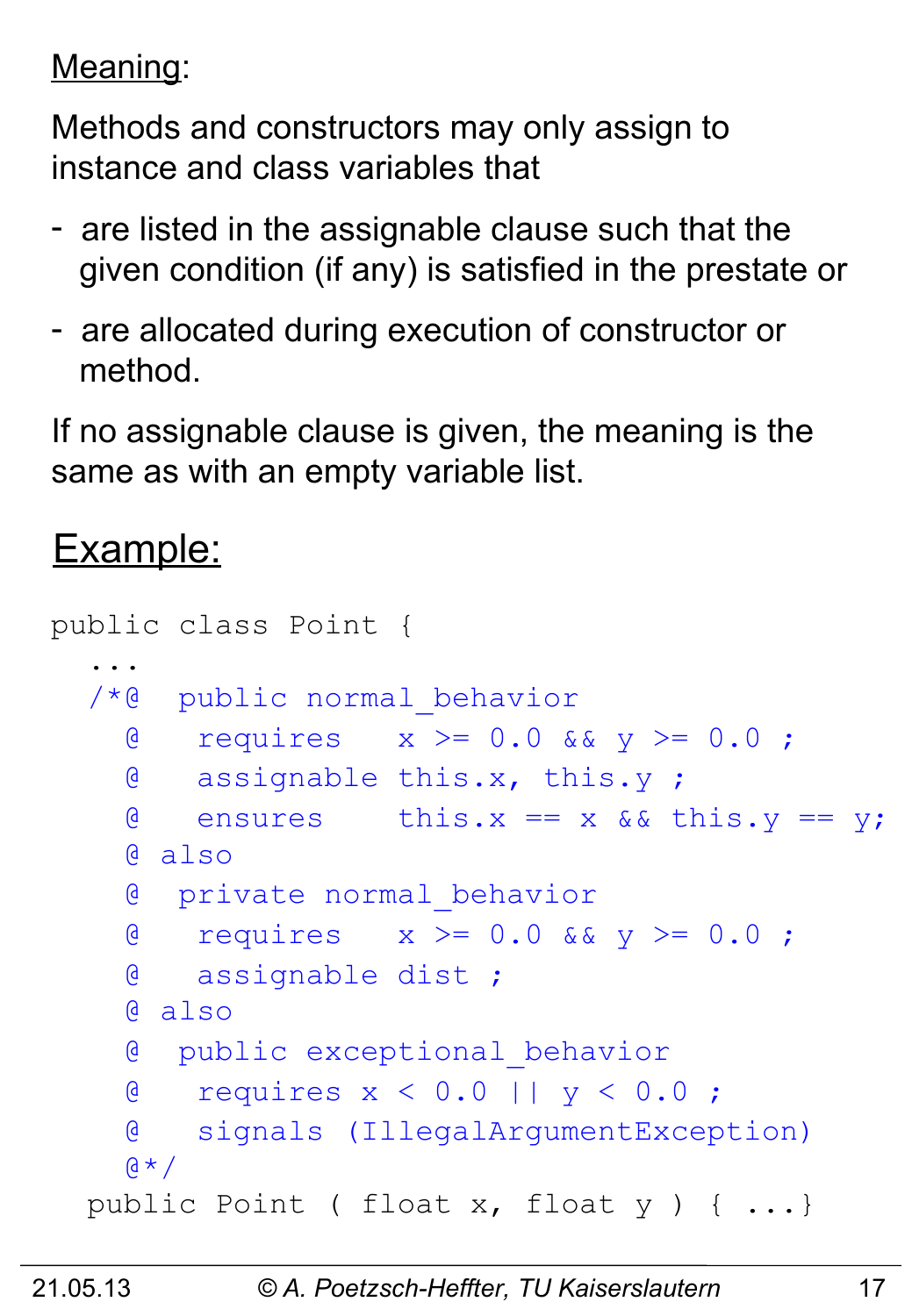Meaning:

Methods and constructors may only assign to instance and class variables that

- are listed in the assignable clause such that the given condition (if any) is satisfied in the prestate or
- are allocated during execution of constructor or method.

If no assignable clause is given, the meaning is the same as with an empty variable list.

#### Example:

```
public class Point {
 ... 
   /*@ public normal_behavior
    \alpha requires x \ge 0.0 & & y \ge 0.0;
     @ assignable this.x, this.y ;
    \theta ensures this.x == x && this.y == y;
     @ also
     @ private normal_behavior
     @ requires x >= 0.0 && y >= 0.0 ;
     @ assignable dist ;
     @ also 
     @ public exceptional_behavior
     @ requires x < 0.0 || y < 0.0 ;
     @ signals (IllegalArgumentException)
    \alpha \star / public Point ( float x, float y ) { ...}
```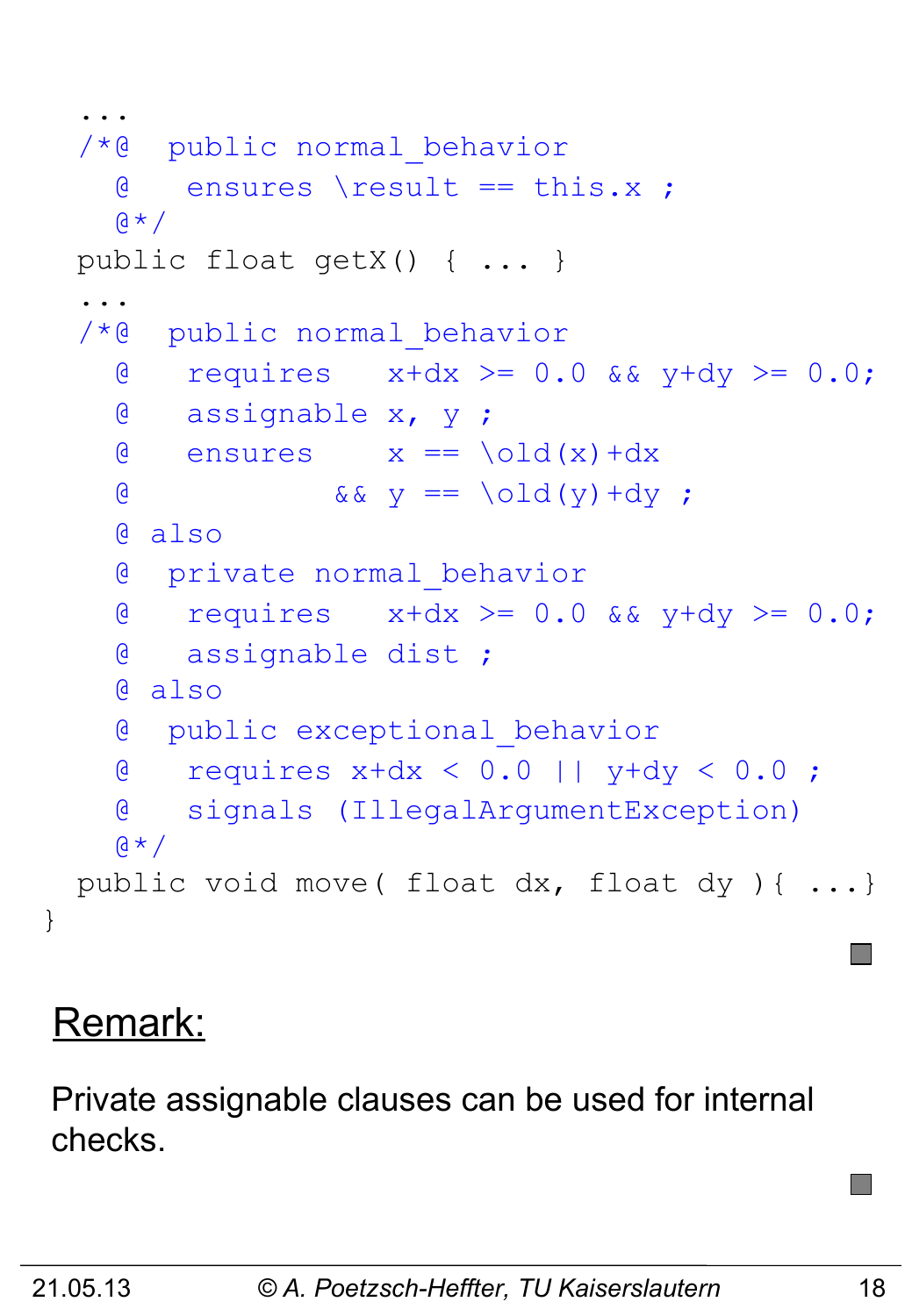```
 ... 
   /*@ public normal_behavior
     \theta ensures \result == this.x ;
    \mathfrak{g} \star / public float getX() { ... }
 ...
   /*@ public normal_behavior
     \alpha requires x+dx >= 0.0 && y+dy >= 0.0;
      @ assignable x, y ;
     \theta ensures x == \text{old}(x) + dx& \& \& \& \& \end{bmatrix} = \begin{bmatrix} 0 \end{bmatrix} \begin{bmatrix} 0 \end{bmatrix} + dy; @ also
      @ private normal_behavior
    \theta requires x+dx \ge 0.0 && y+dy >= 0.0;
      @ assignable dist ;
      @ also
      @ public exceptional_behavior
     @ requires x+dx < 0.0 || y+dy < 0.0 ;
      @ signals (IllegalArgumentException)
    \mathfrak{g} \star / public void move( float dx, float dy ){ ...}
```
### Remark:

}

Private assignable clauses can be used for internal checks.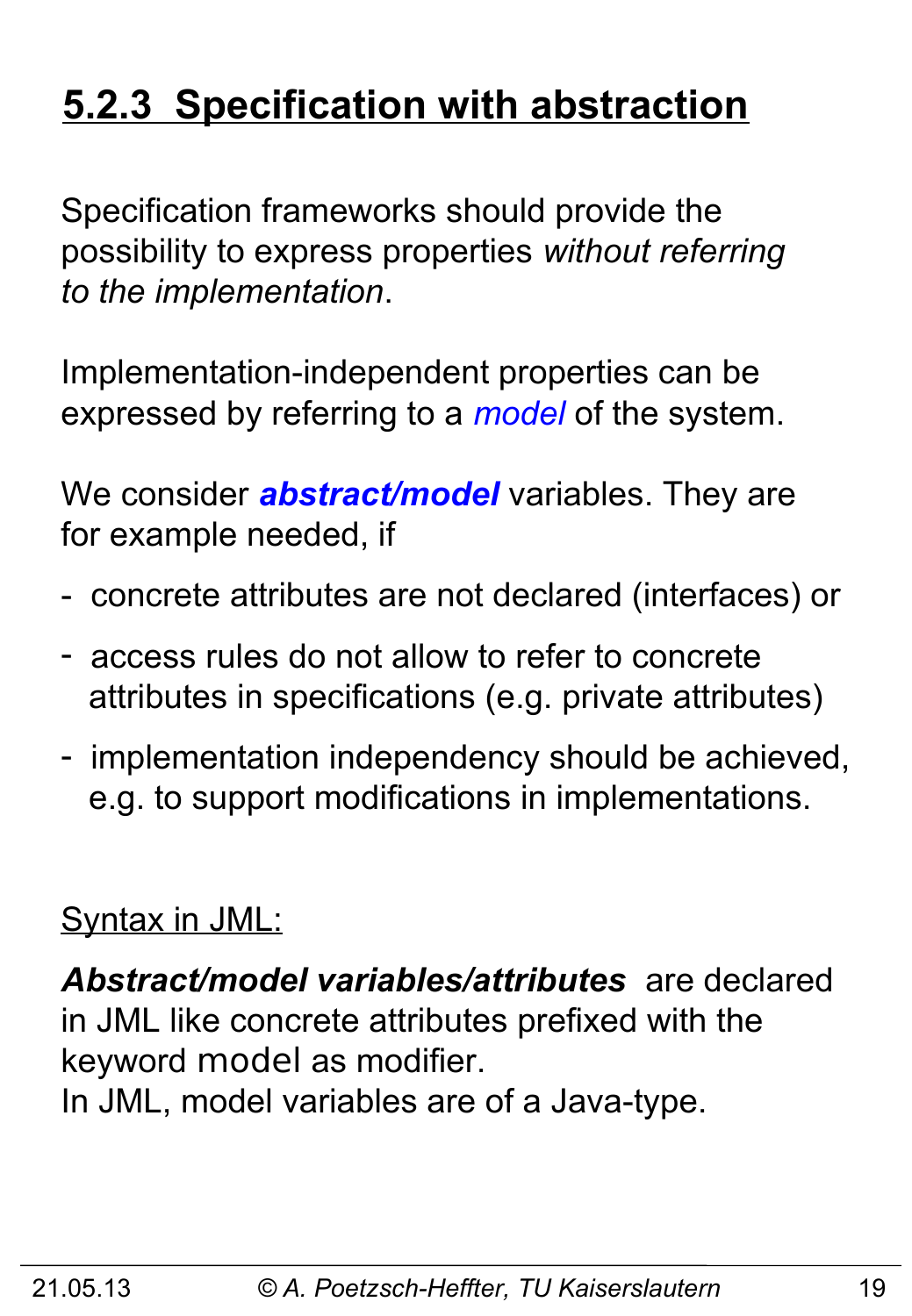# **5.2.3 Specification with abstraction**

Specification frameworks should provide the possibility to express properties *without referring to the implementation*.

Implementation-independent properties can be expressed by referring to a *model* of the system.

We consider *abstract/model* variables. They are for example needed, if

- concrete attributes are not declared (interfaces) or
- access rules do not allow to refer to concrete attributes in specifications (e.g. private attributes)
- implementation independency should be achieved, e.g. to support modifications in implementations.

#### Syntax in JML:

*Abstract/model variables/attributes* are declared in JML like concrete attributes prefixed with the keyword model as modifier.

In JML, model variables are of a Java-type.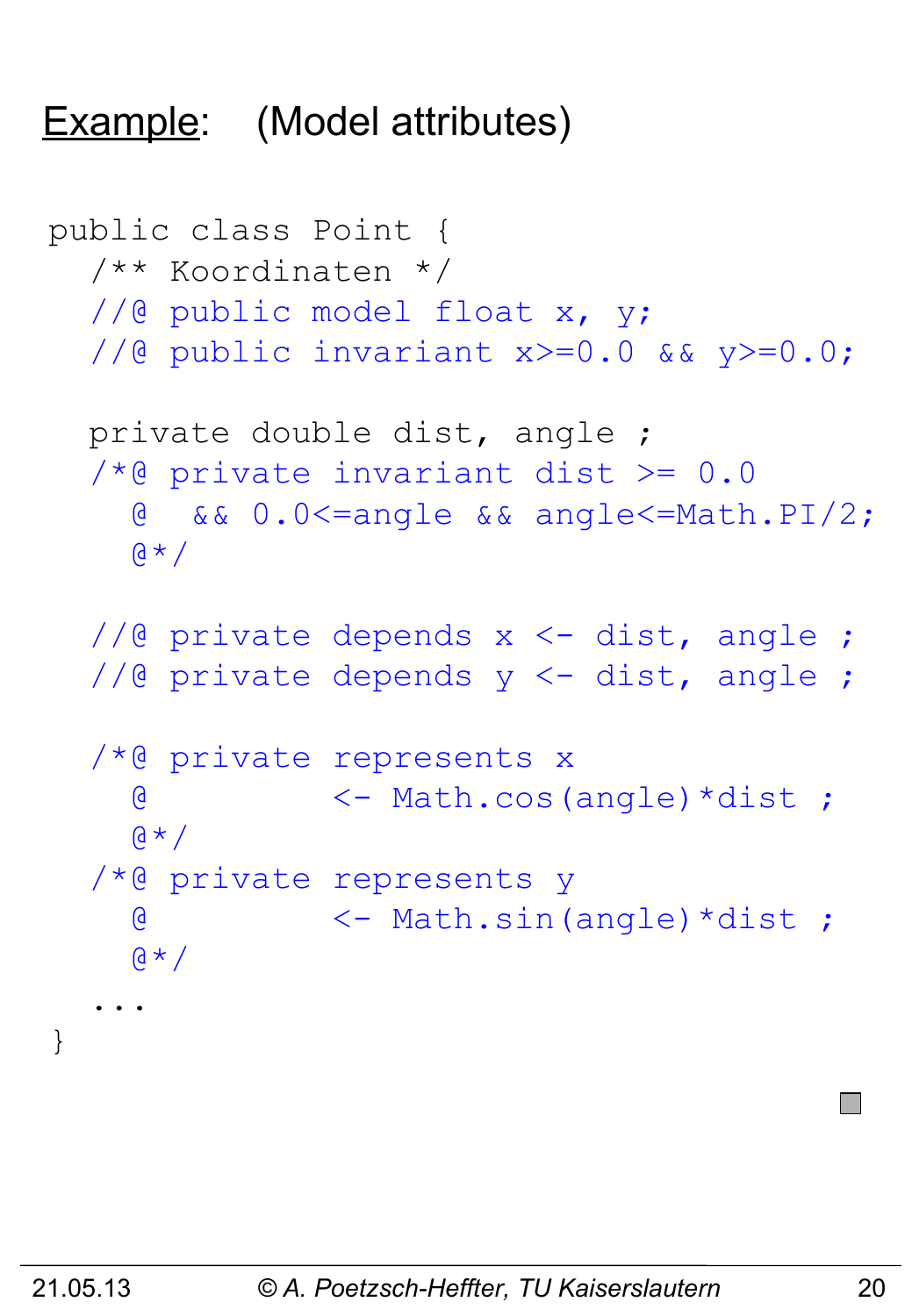#### Example: (Model attributes)

```
public class Point {
   /** Koordinaten */
  //@ public model float x, y;
   //@ public invariant x>=0.0 && y>=0.0;
   private double dist, angle ;
  /*@ private invariant dist >= 0.0 @ && 0.0<=angle && angle<=Math.PI/2;
    \alpha \star ///@ private depends x <- dist, angle ;
  //@ private depends y <- dist, angle ;
   /*@ private represents x 
     @ <- Math.cos(angle)*dist ; 
    a * / /*@ private represents y
     @ <- Math.sin(angle)*dist ; 
    a \star / ...
}
```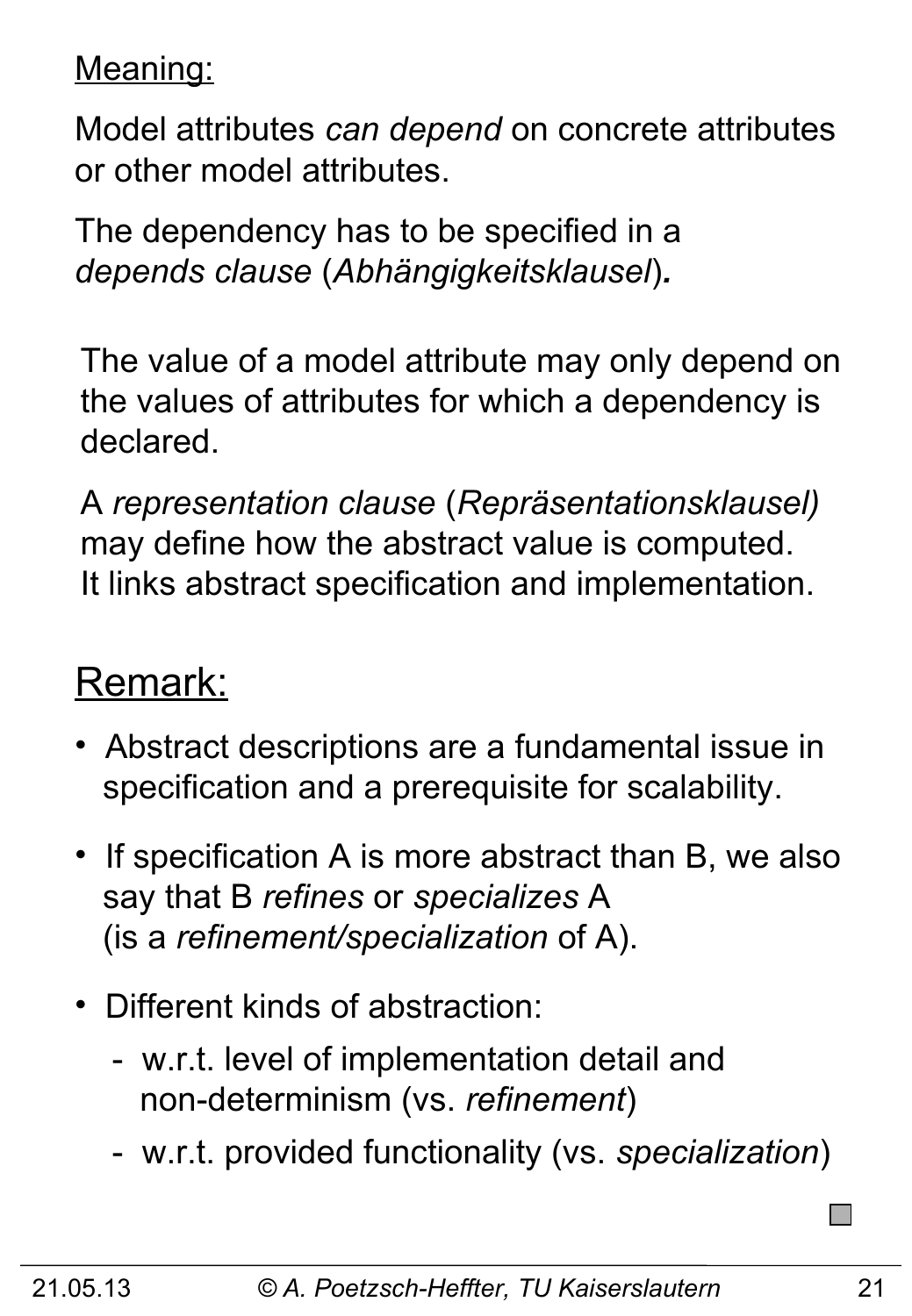Meaning:

Model attributes *can depend* on concrete attributes or other model attributes.

The dependency has to be specified in a *depends clause* (*Abhängigkeitsklausel*)*.*

The value of a model attribute may only depend on the values of attributes for which a dependency is declared.

A *representation clause* (*Repräsentationsklausel)* may define how the abstract value is computed. It links abstract specification and implementation.

#### Remark:

- Abstract descriptions are a fundamental issue in specification and a prerequisite for scalability.
- If specification A is more abstract than B, we also say that B *refines* or *specializes* A (is a *refinement/specialization* of A).
- Different kinds of abstraction:
	- w.r.t. level of implementation detail and non-determinism (vs. *refinement*)
	- w.r.t. provided functionality (vs. *specialization*)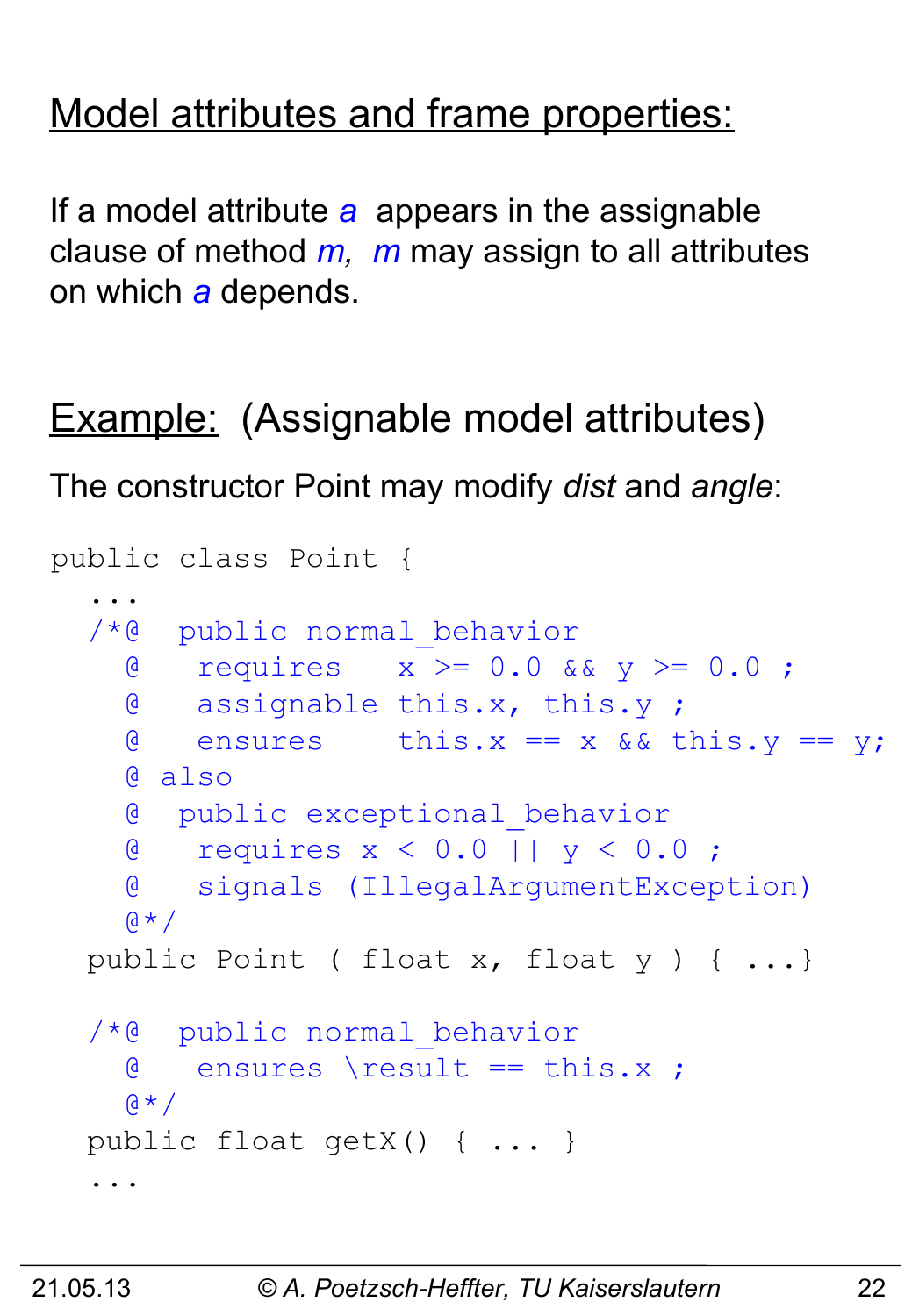#### Model attributes and frame properties:

If a model attribute *a* appears in the assignable clause of method *m, m* may assign to all attributes on which *a* depends.

Example: (Assignable model attributes) The constructor Point may modify *dist* and *angle*:

```
public class Point {
 ... 
   /*@ public normal_behavior
     @ requires x >= 0.0 && y >= 0.0 ;
     @ assignable this.x, this.y ;
    \theta ensures this.x == x && this.y == y;
     @ also 
     @ public exceptional_behavior
     @ requires x < 0.0 || y < 0.0 ;
     @ signals (IllegalArgumentException)
    \alpha \star / public Point ( float x, float y ) { ...}
   /*@ public normal_behavior
     @ ensures \result == this.x ;
    \alpha \star /public float getX() { ... }
   ...
```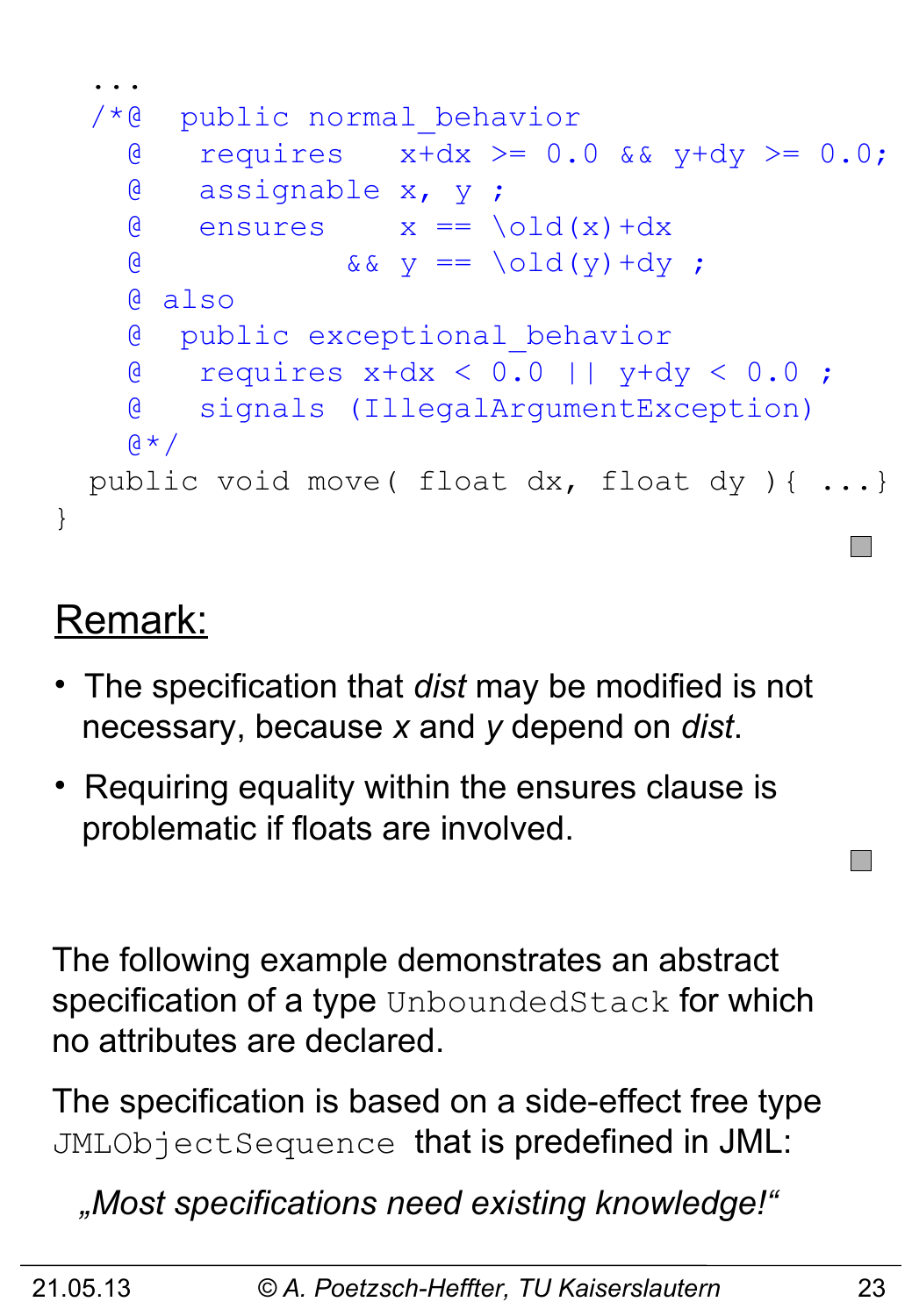

#### Remark:

- The specification that *dist* may be modified is not necessary, because *x* and *y* depend on *dist*.
- Requiring equality within the ensures clause is problematic if floats are involved.

The following example demonstrates an abstract specification of a type UnboundedStack for which no attributes are declared.

The specification is based on a side-effect free type JMLObjectSequence that is predefined in JML:

 *"Most specifications need existing knowledge!"*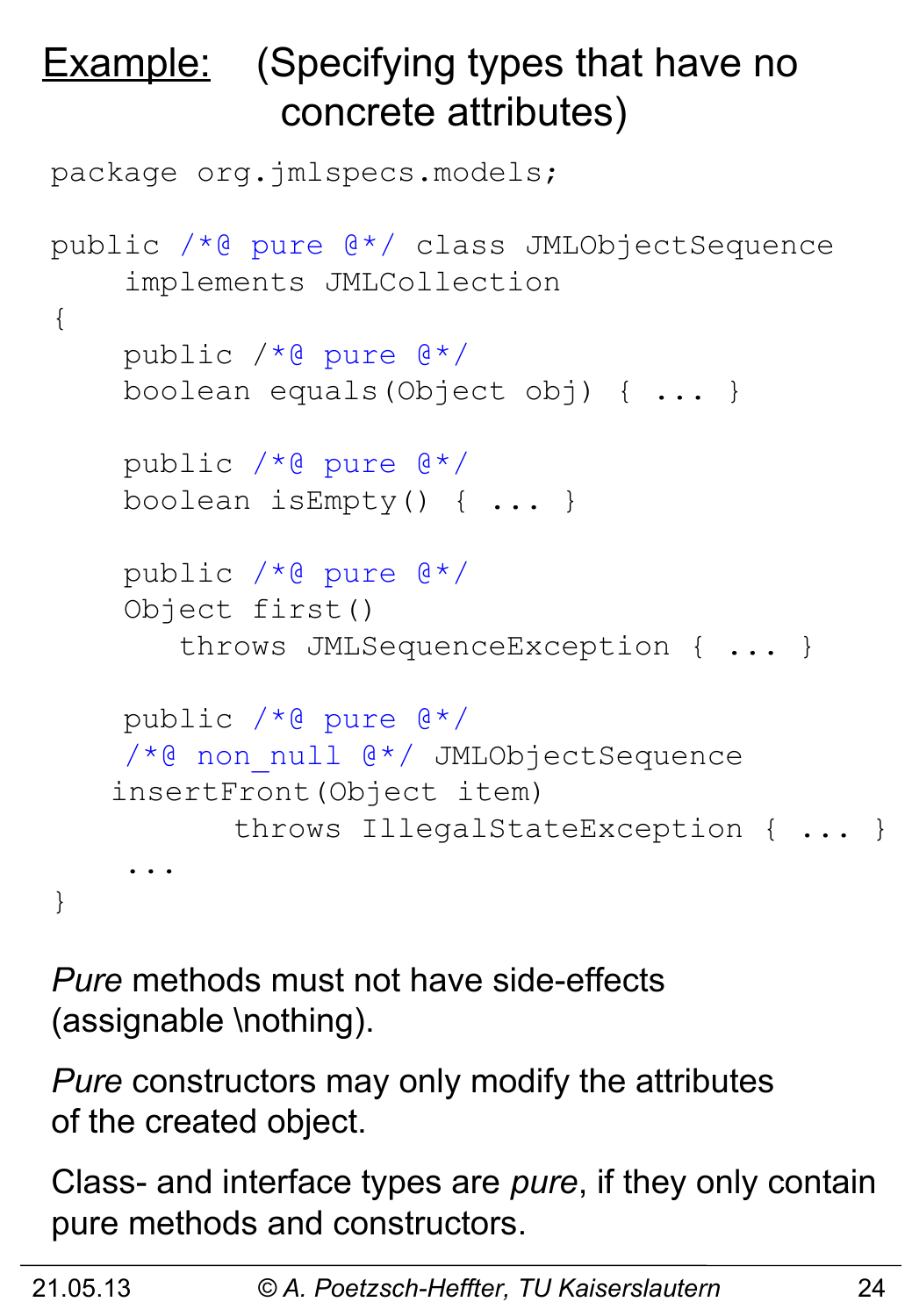# **Example:** (Specifying types that have no concrete attributes)

```
package org.jmlspecs.models;
public /*@ pure @*/ class JMLObjectSequence
     implements JMLCollection
{
     public /*@ pure @*/ 
     boolean equals(Object obj) { ... } 
     public /*@ pure @*/ 
     boolean isEmpty() { ... }
     public /*@ pure @*/ 
     Object first() 
        throws JMLSequenceException { ... }
     public /*@ pure @*/ 
    /*@ non null @*/ JMLObjectSequence
   insertFront(Object item) 
            throws IllegalStateException { ... }
     ...
}
```
*Pure* methods must not have side-effects (assignable \nothing).

*Pure* constructors may only modify the attributes of the created object.

Class- and interface types are *pure*, if they only contain pure methods and constructors.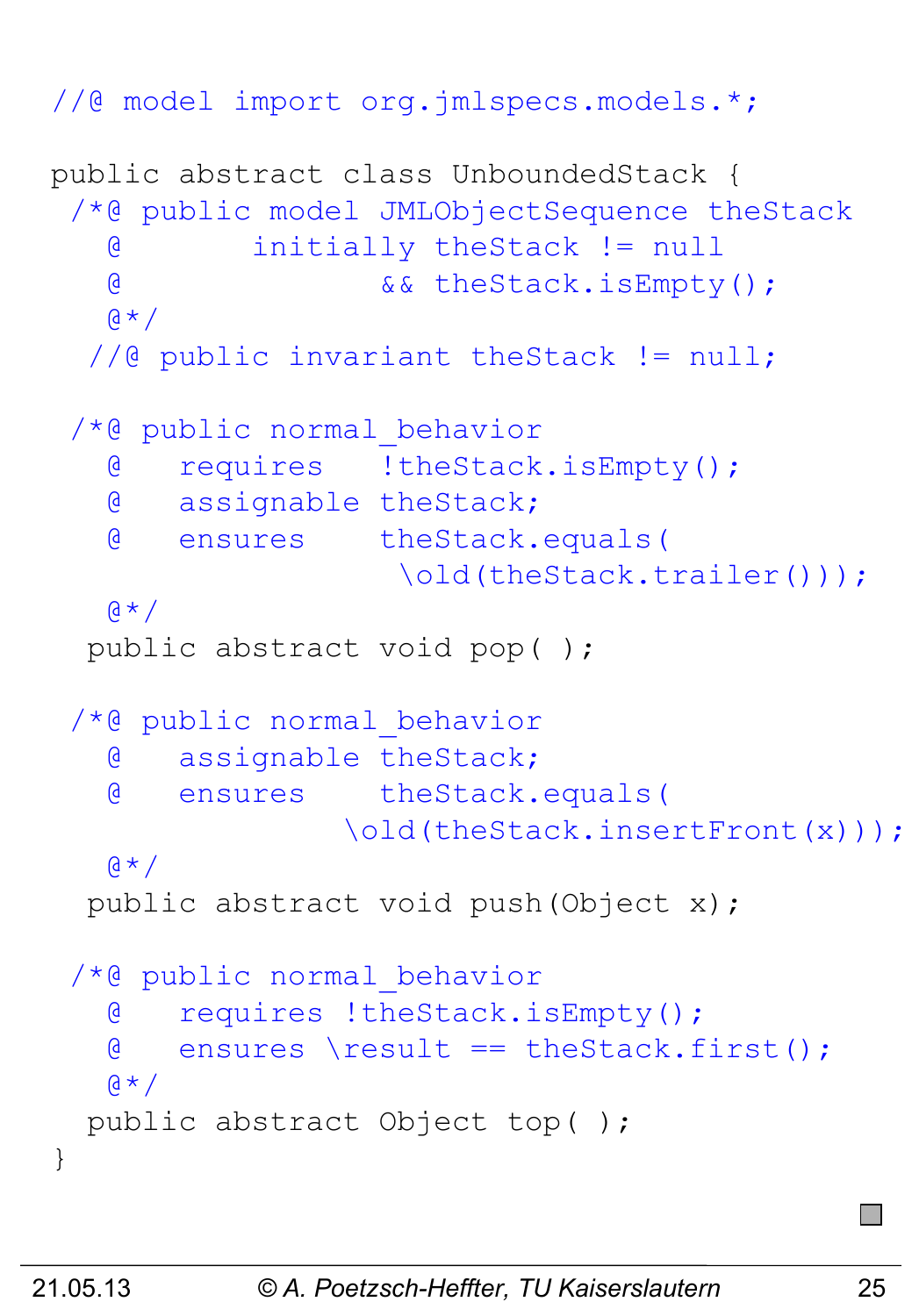```
//@ model import org.jmlspecs.models.*;
```

```
public abstract class UnboundedStack {
 /*@ public model JMLObjectSequence theStack
    @ initially theStack != null 
    @ && theStack.isEmpty();
   \mathbf{a} \star \mathbf{b} //@ public invariant theStack != null;
 /*@ public normal_behavior
    @ requires !theStack.isEmpty();
    @ assignable theStack;
    @ ensures theStack.equals(
                    \old(theStack.trailer()));
   \mathfrak{g} \star /public abstract void pop( );
 /*@ public normal_behavior
    @ assignable theStack;
    @ ensures theStack.equals(
                 \old(theStack.insertFront(x)));
   \mathbf{a} \star \mathbf{b} public abstract void push(Object x);
 /*@ public normal_behavior
    @ requires !theStack.isEmpty();
    @ ensures \result == theStack.first();
   (4 \times 1) public abstract Object top( );
}
```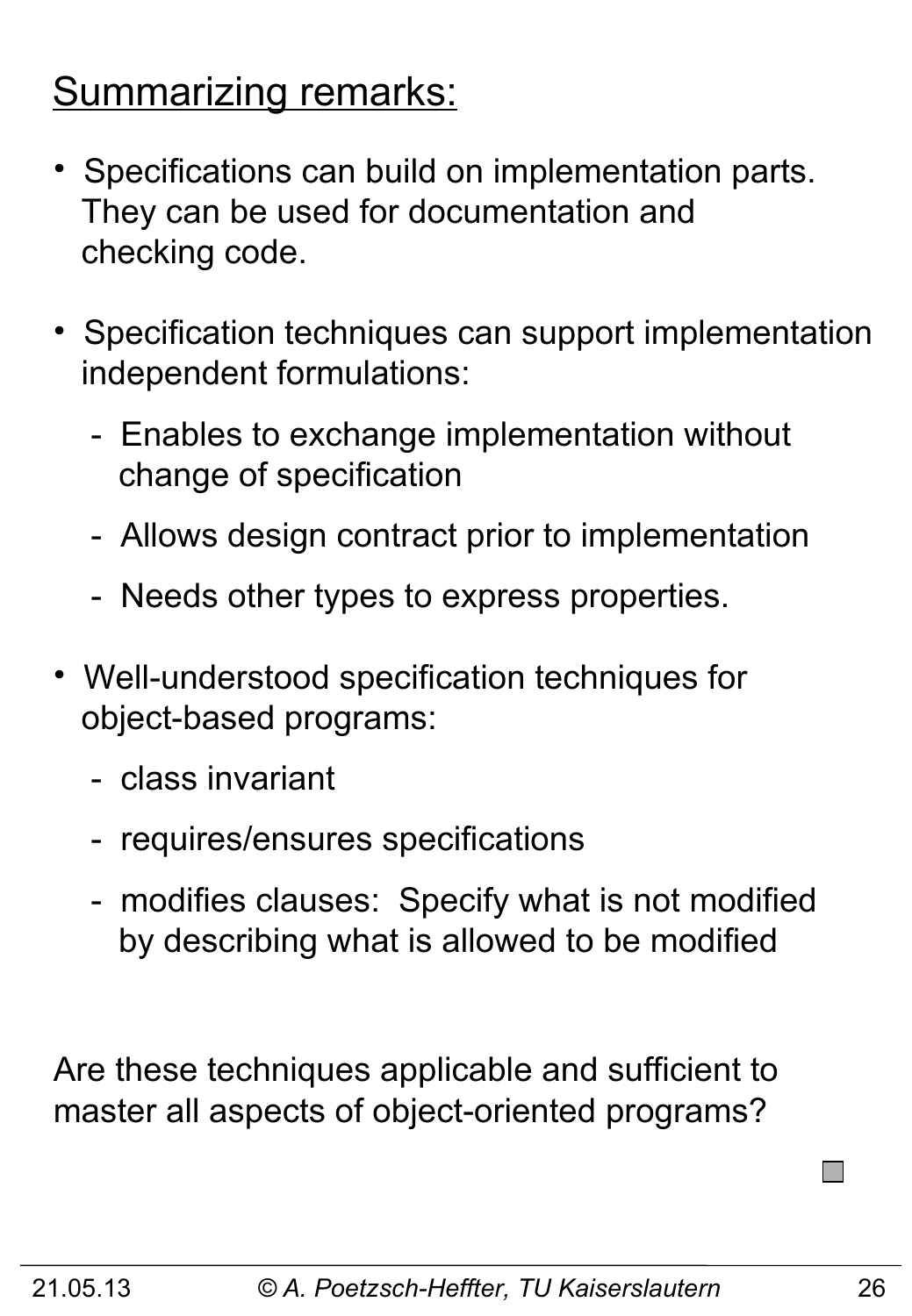### Summarizing remarks:

- Specifications can build on implementation parts. They can be used for documentation and checking code.
- Specification techniques can support implementation independent formulations:
	- Enables to exchange implementation without change of specification
	- Allows design contract prior to implementation
	- Needs other types to express properties.
- Well-understood specification techniques for object-based programs:
	- class invariant
	- requires/ensures specifications
	- modifies clauses: Specify what is not modified by describing what is allowed to be modified

Are these techniques applicable and sufficient to master all aspects of object-oriented programs?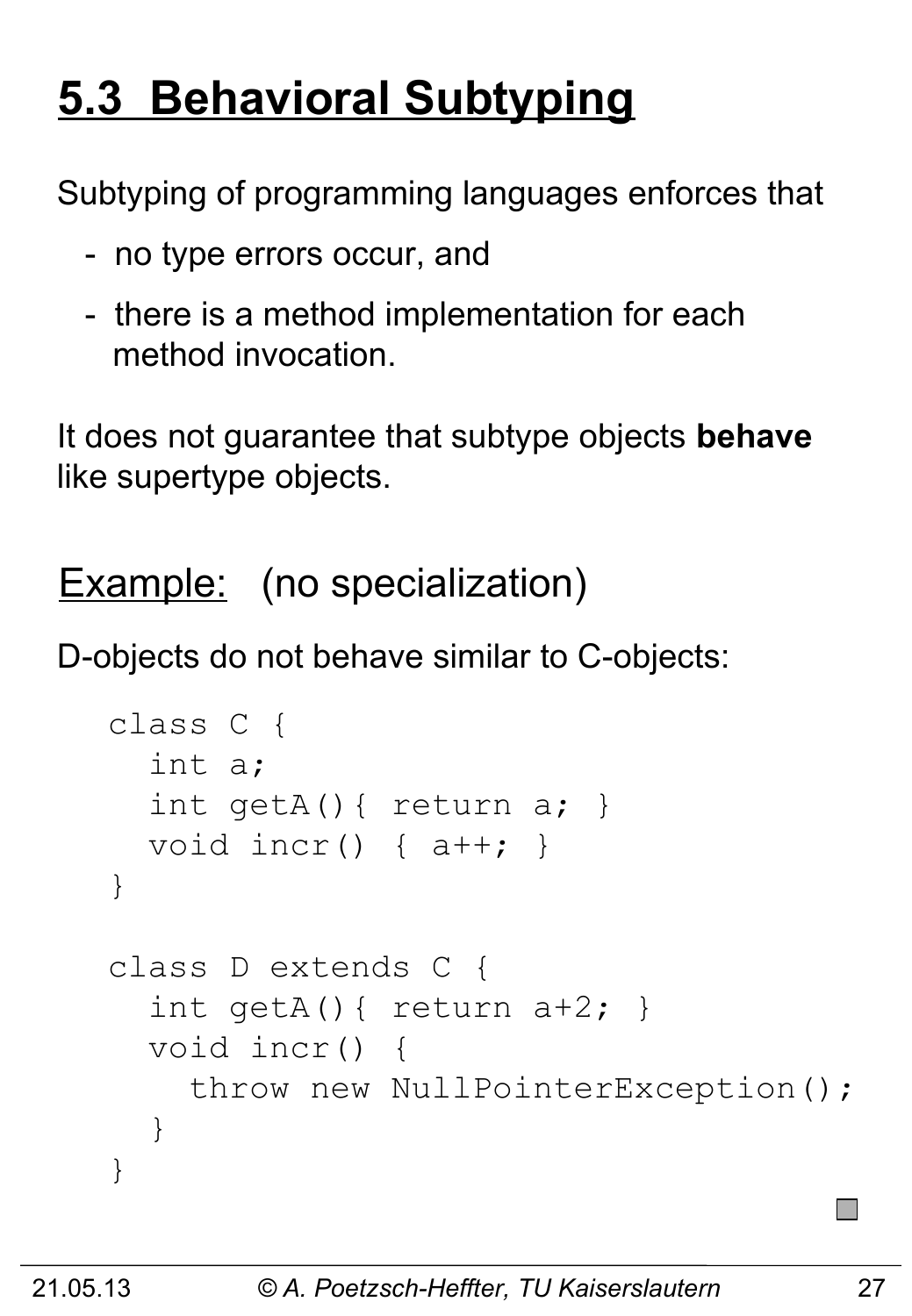# **5.3 Behavioral Subtyping**

Subtyping of programming languages enforces that

- no type errors occur, and
- there is a method implementation for each method invocation.

It does not guarantee that subtype objects **behave** like supertype objects.

Example: (no specialization)

D-objects do not behave similar to C-objects:

```
class C {
   int a;
   int getA(){ return a; } 
   void incr() { a++; } 
}
class D extends C {
  int getA(){ return a+2; }
   void incr() { 
     throw new NullPointerException();
   }
}
```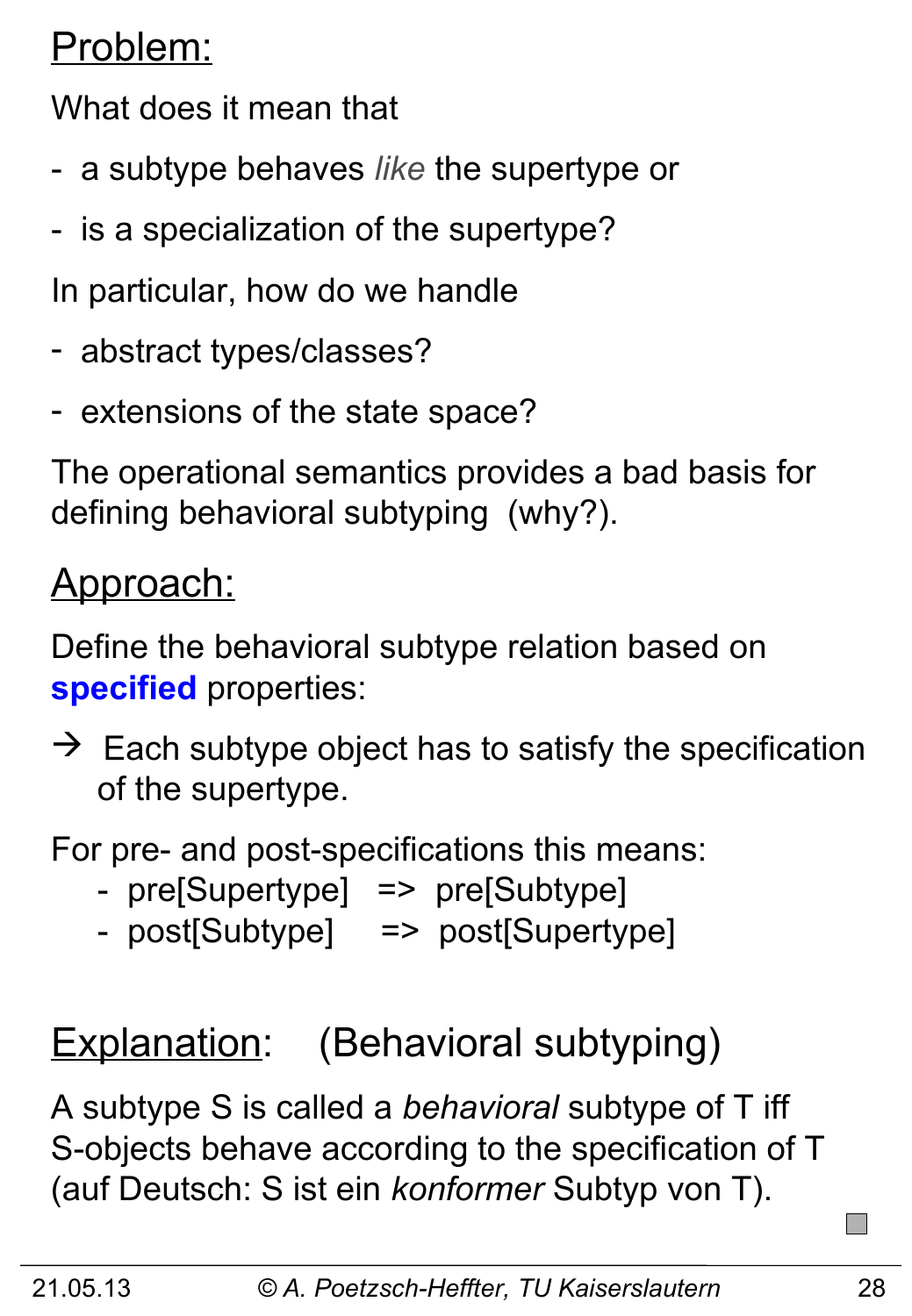### Problem:

What does it mean that

- a subtype behaves *like* the supertype or
- is a specialization of the supertype?
- In particular, how do we handle
- abstract types/classes?
- extensions of the state space?

The operational semantics provides a bad basis for defining behavioral subtyping (why?).

### Approach:

Define the behavioral subtype relation based on **specified** properties:

 $\rightarrow$  Each subtype object has to satisfy the specification of the supertype.

For pre- and post-specifications this means:

- pre[Supertype] => pre[Subtype]
- post[Subtype] => post[Supertype]

# Explanation: (Behavioral subtyping)

A subtype S is called a *behavioral* subtype of T iff S-objects behave according to the specification of T (auf Deutsch: S ist ein *konformer* Subtyp von T).

**I**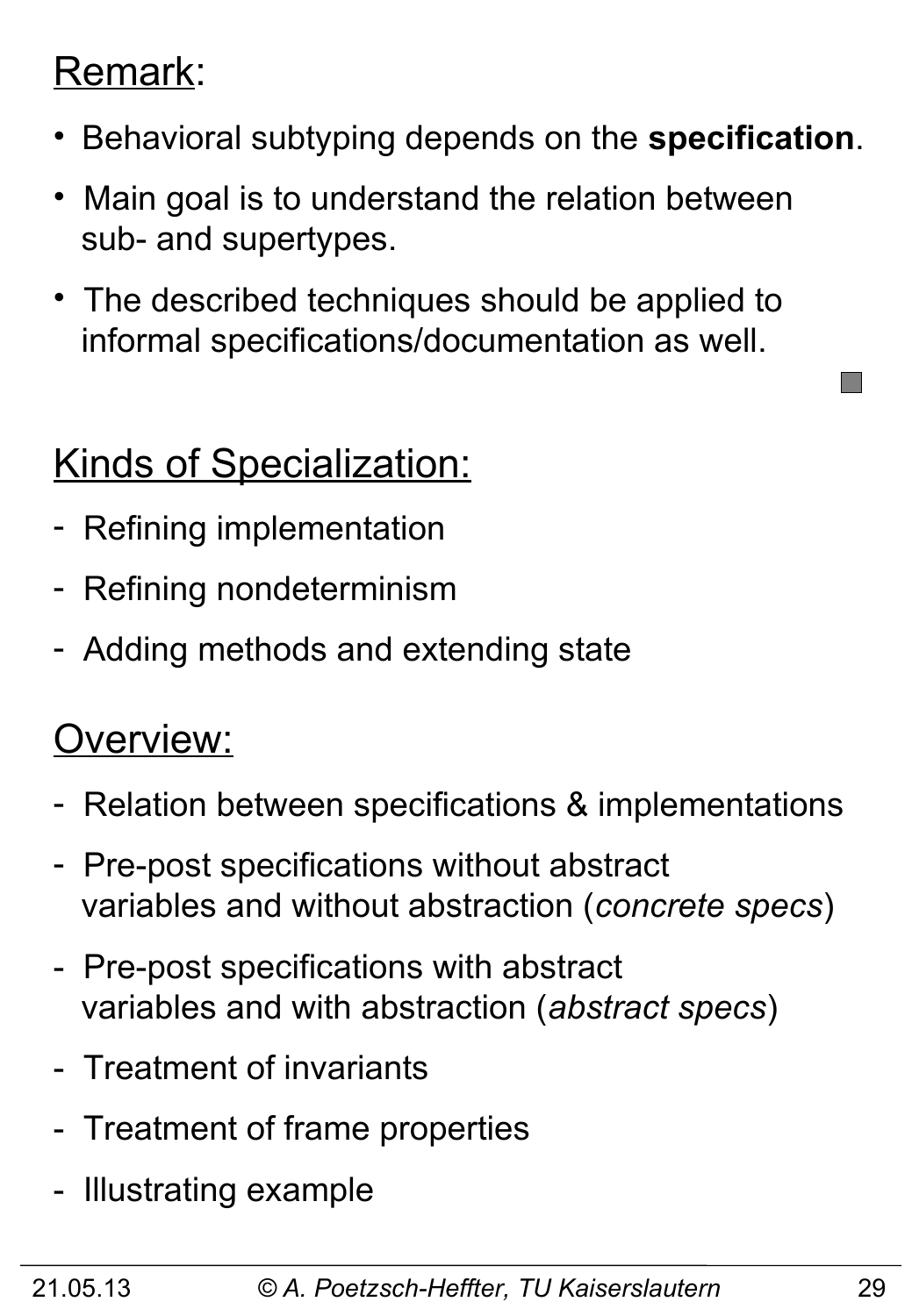#### Remark:

- Behavioral subtyping depends on the **specification**.
- Main goal is to understand the relation between sub- and supertypes.
- The described techniques should be applied to informal specifications/documentation as well.

# Kinds of Specialization:

- Refining implementation
- Refining nondeterminism
- Adding methods and extending state

#### Overview:

- Relation between specifications & implementations
- Pre-post specifications without abstract variables and without abstraction (*concrete specs*)
- Pre-post specifications with abstract variables and with abstraction (*abstract specs*)
- Treatment of invariants
- Treatment of frame properties
- Illustrating example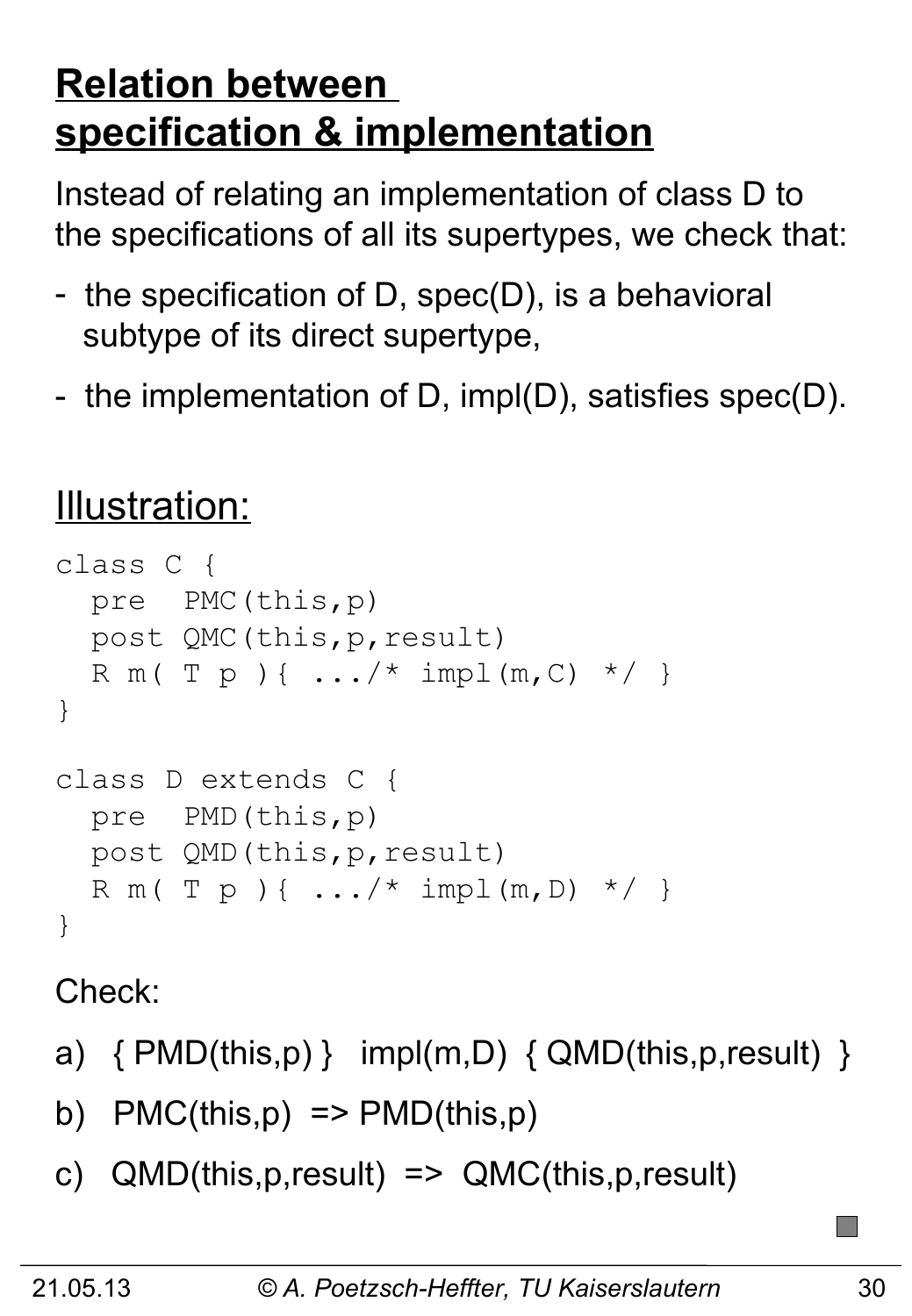# **Relation between specification & implementation**

Instead of relating an implementation of class D to the specifications of all its supertypes, we check that:

- the specification of D, spec(D), is a behavioral subtype of its direct supertype,
- the implementation of D, impl(D), satisfies spec(D).

# Illustration:

```
class C { 
   pre PMC(this,p)
   post QMC(this,p,result)
  R m ( T p ) { .../ * impl (m, C) */ }
}
class D extends C { 
   pre PMD(this,p)
   post QMD(this,p,result)
  R m ( T p ) { ... / * impl (m, D) */ }
}
```
Check:

- a)  $\{ PMD(this, p) \}$  impl(m,D)  $\{ QMD(this, p, result) \}$
- b)  $PMC(this,p) \Rightarrow PMD(this,p)$
- c) QMD(this,p,result) => QMC(this,p,result)

 $\Box$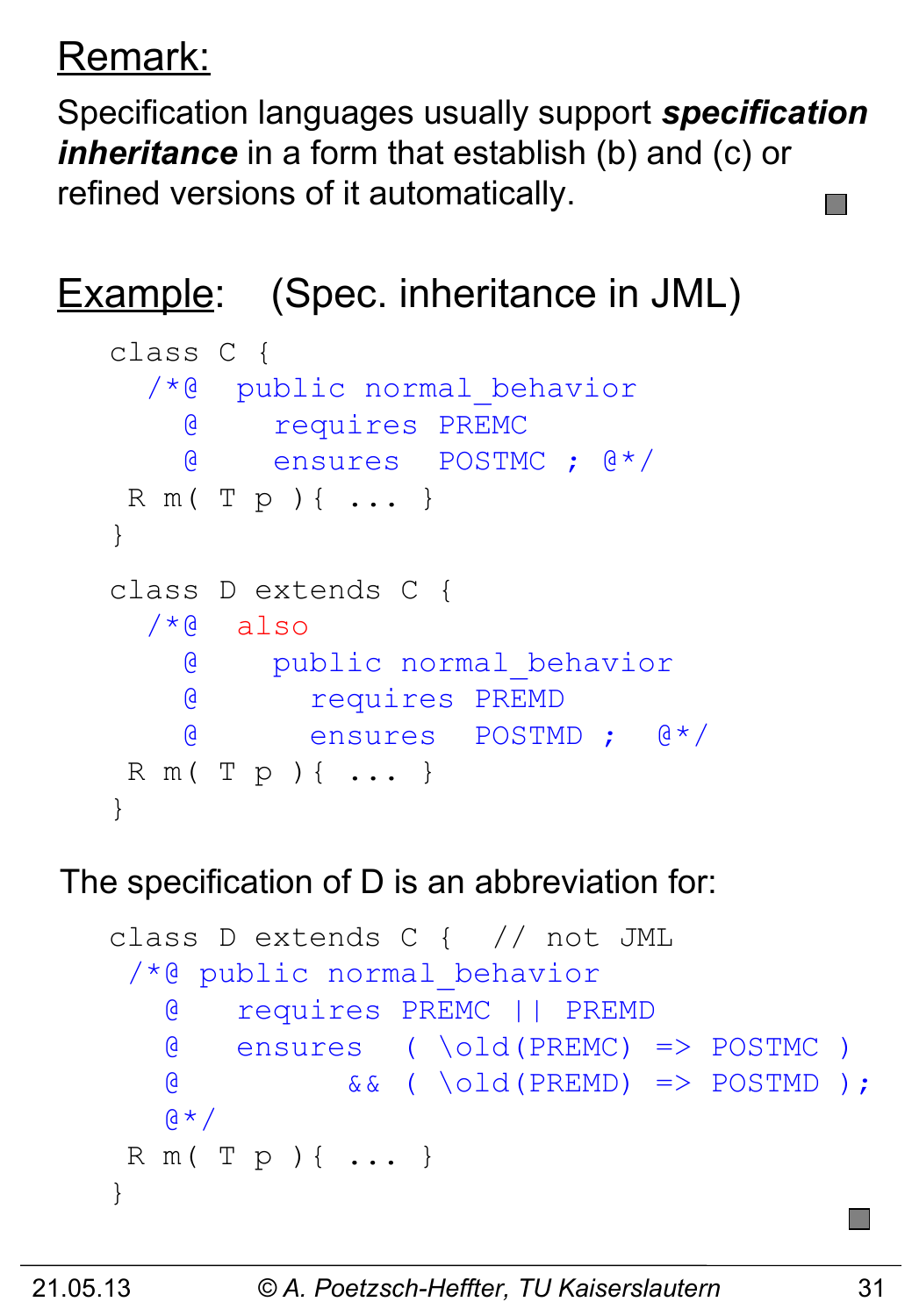# Remark:

Specification languages usually support *specification inheritance* in a form that establish (b) and (c) or refined versions of it automatically.

# Example: (Spec. inheritance in JML)

```
class C { 
  /*@ public normal_behavior
     @ requires PREMC
     @ ensures POSTMC ; @*/
R m( T p ){ ... }
}
class D extends C { 
 /*@ also
     @ public normal_behavior
    @ requires PREMD
    @ ensures POSTMD ; @*/
R m( T p ){ ... }
}
```
#### The specification of D is an abbreviation for:

```
class D extends C { // not JML 
 /*@ public normal_behavior 
    @ requires PREMC || PREMD
    @ ensures ( \old(PREMC) => POSTMC )
    @ && ( \old(PREMD) => POSTMD );
   \beta \star /R m( T p ){ ... }
}
```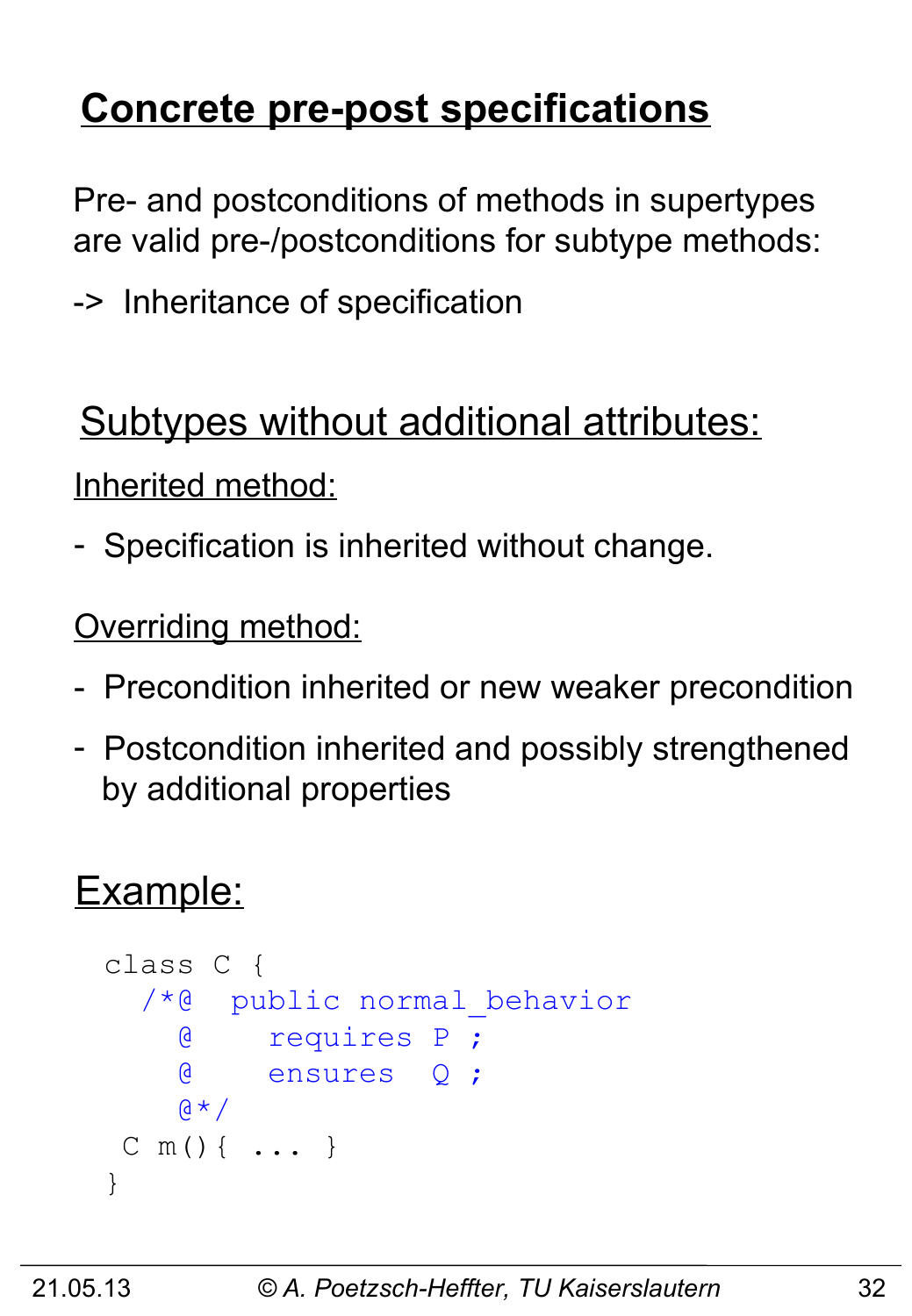# **Concrete pre-post specifications**

Pre- and postconditions of methods in supertypes are valid pre-/postconditions for subtype methods:

-> Inheritance of specification

### Subtypes without additional attributes:

Inherited method:

- Specification is inherited without change.

**Overriding method:** 

- Precondition inherited or new weaker precondition
- Postcondition inherited and possibly strengthened by additional properties

### Example:

```
class C { 
   /*@ public normal_behavior
     @ requires P ;
     @ ensures Q ;
    \alpha \star /C m(){ ... }
}
```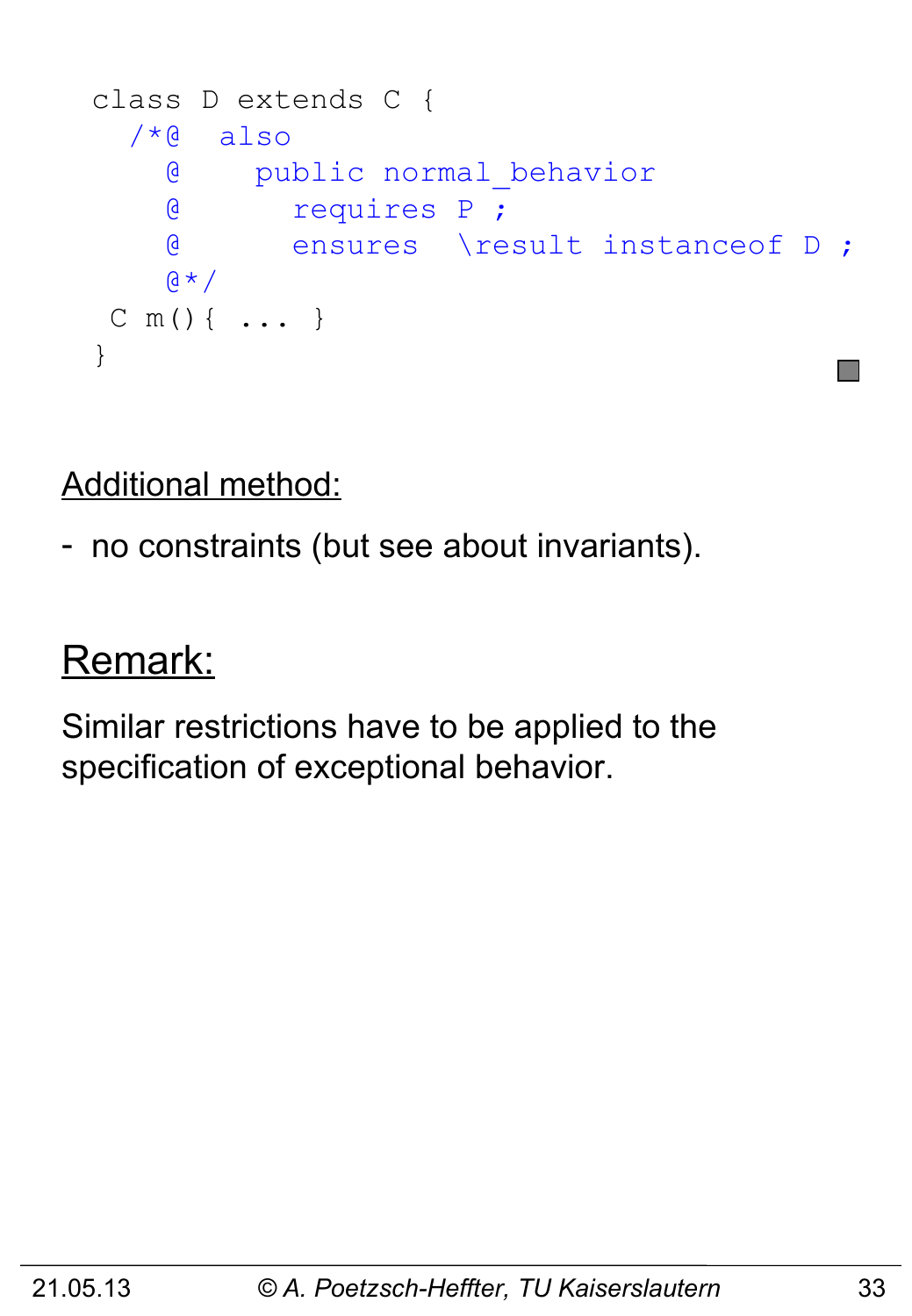```
class D extends C { 
  /*@ also
     @ public normal_behavior
     @ requires P ;
     @ ensures \result instanceof D ;
    (4 \times 1)C m(){ ... }
}
```
Additional method:

- no constraints (but see about invariants).

#### Remark:

Similar restrictions have to be applied to the specification of exceptional behavior.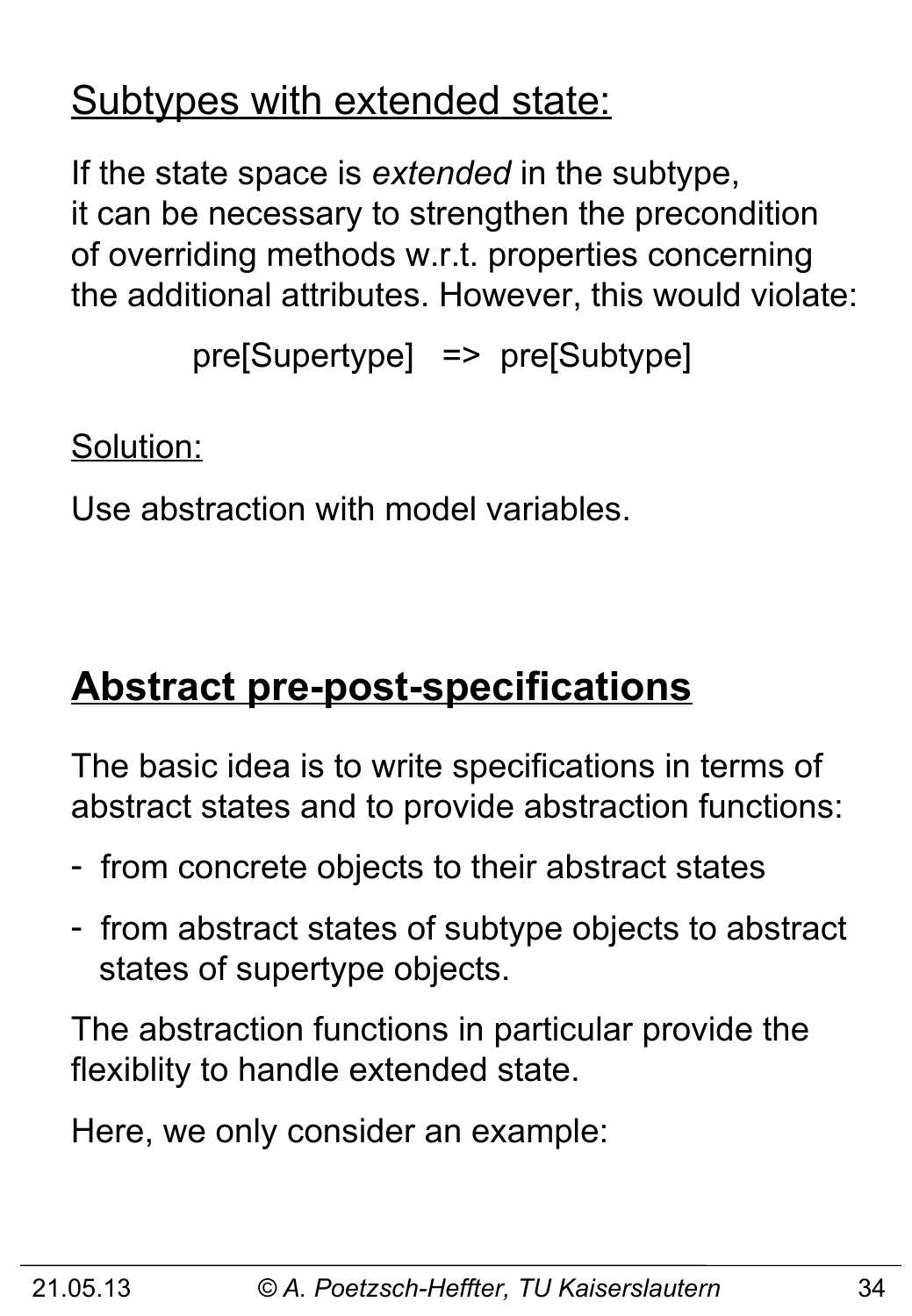### Subtypes with extended state:

If the state space is *extended* in the subtype, it can be necessary to strengthen the precondition of overriding methods w.r.t. properties concerning the additional attributes. However, this would violate:

```
 pre[Supertype] => pre[Subtype]
```
Solution:

Use abstraction with model variables.

# **Abstract pre-post-specifications**

The basic idea is to write specifications in terms of abstract states and to provide abstraction functions:

- from concrete objects to their abstract states
- from abstract states of subtype objects to abstract states of supertype objects.

The abstraction functions in particular provide the flexiblity to handle extended state.

Here, we only consider an example: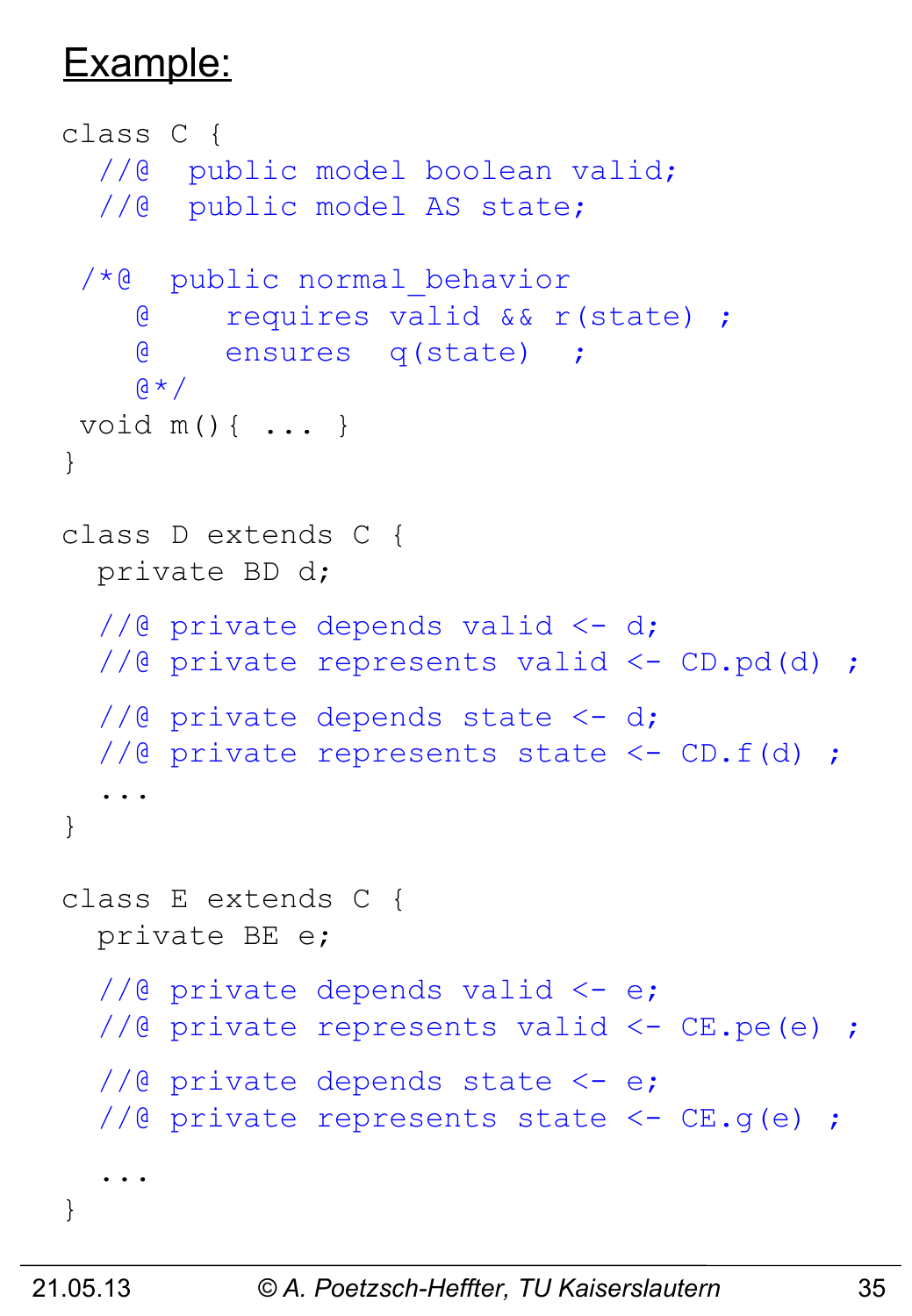#### Example:

```
class C { 
  //@ public model boolean valid;
   //@ public model AS state;
 /*@ public normal_behavior
     @ requires valid && r(state) ;
     @ ensures q(state) ;
    \upbeta * /
void m(){ ... }
}
class D extends C { 
  private BD d;
  1/2 private depends valid \leq -d;
  //@ private represents valid <- CD.pd(d) ;
  1/6 private depends state <-d;
   //@ private represents state <- CD.f(d) ; 
 ...
}
class E extends C { 
  private BE e;
  1/2 private depends valid \leq -e;
   //@ private represents valid <- CE.pe(e) ; 
  //@ private depends state <-e; //@ private represents state <- CE.g(e) ; 
 ...
}
```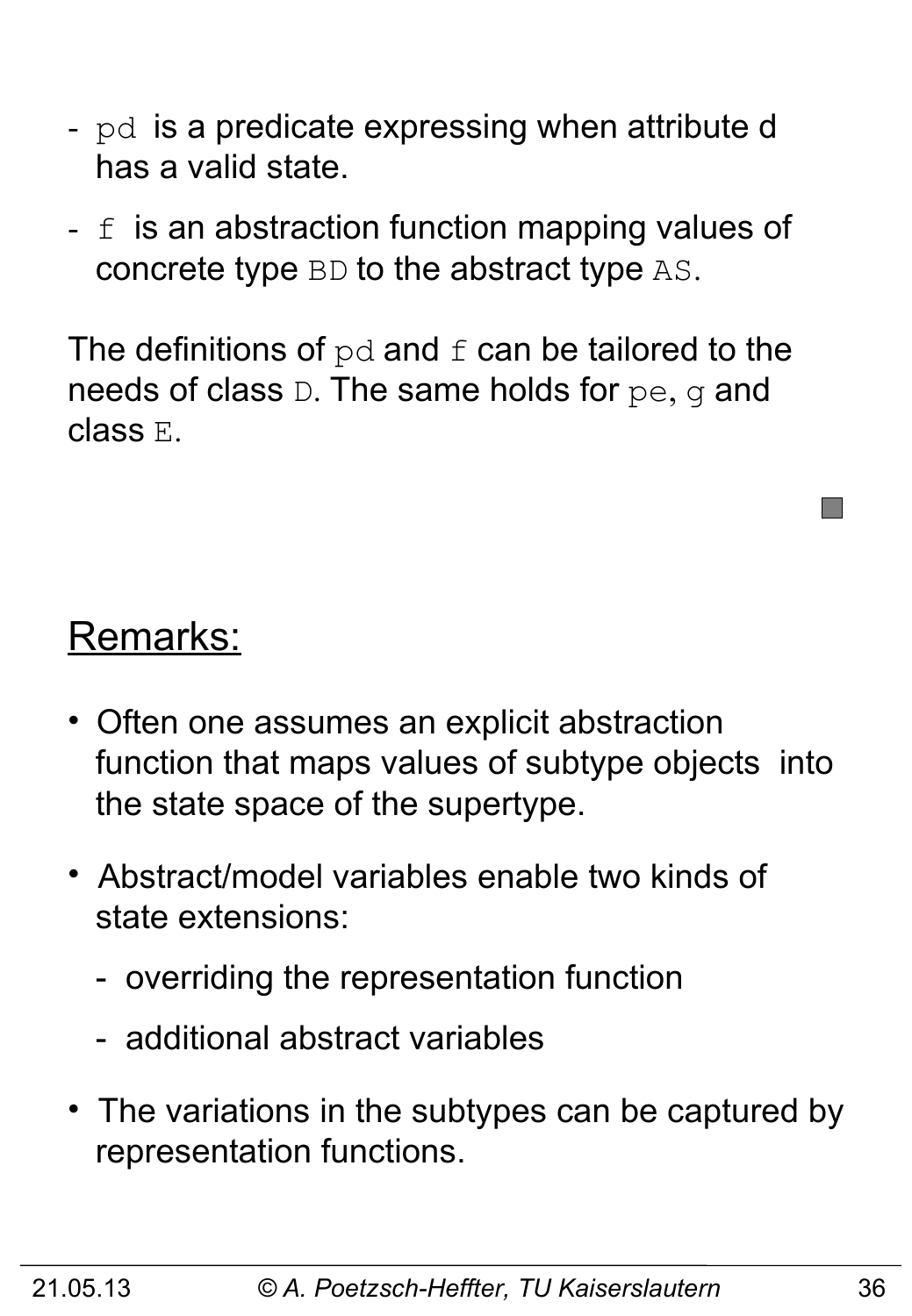- pd is a predicate expressing when attribute d has a valid state.
- $f$  is an abstraction function mapping values of concrete type BD to the abstract type AS.

The definitions of  $pd$  and  $f$  can be tailored to the needs of class D. The same holds for pe, g and class E.

#### Remarks:

- Often one assumes an explicit abstraction function that maps values of subtype objects into the state space of the supertype.
- Abstract/model variables enable two kinds of state extensions:
	- overriding the representation function
	- additional abstract variables
- The variations in the subtypes can be captured by representation functions.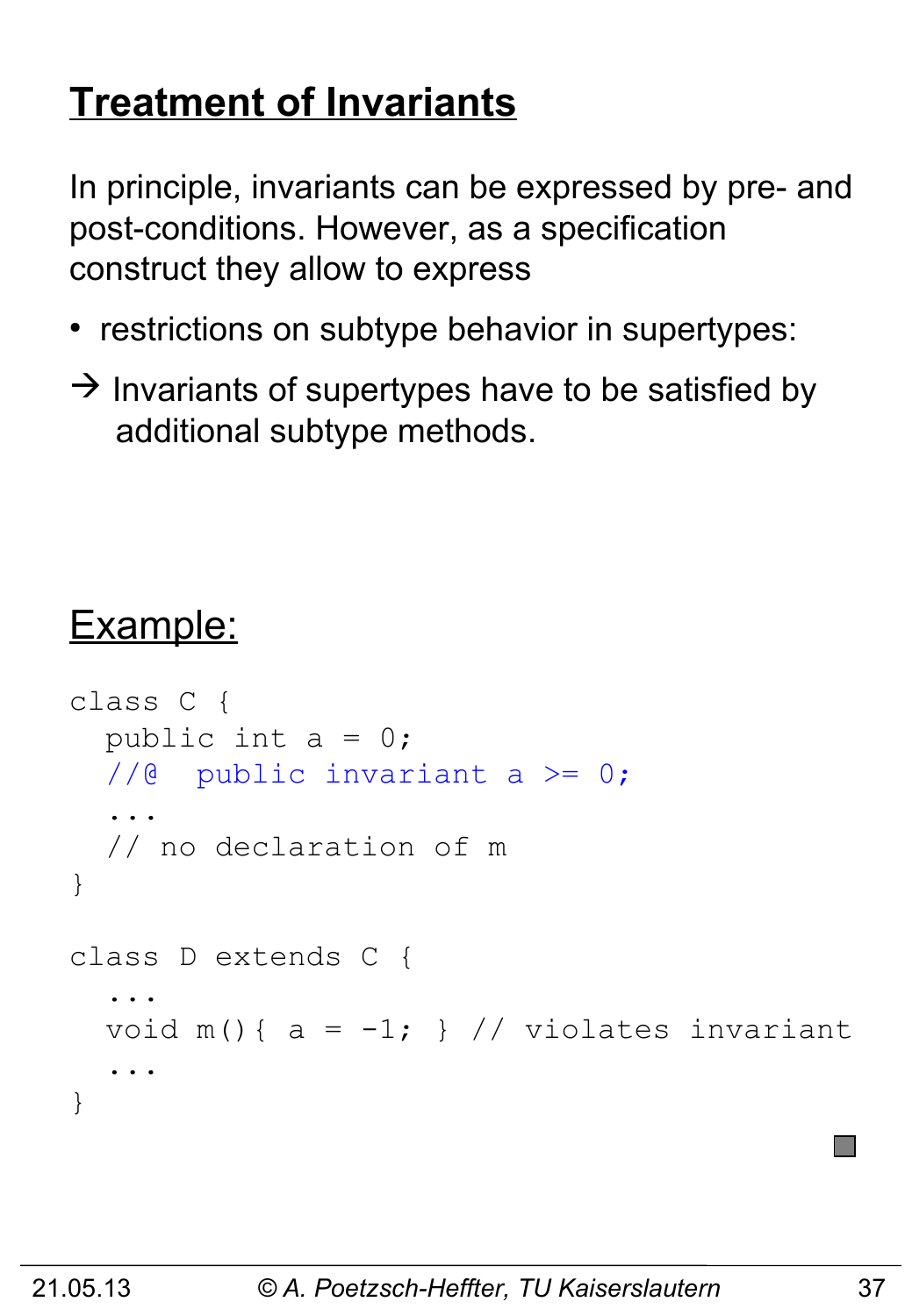# **Treatment of Invariants**

In principle, invariants can be expressed by pre- and post-conditions. However, as a specification construct they allow to express

- restrictions on subtype behavior in supertypes:
- $\rightarrow$  Invariants of supertypes have to be satisfied by additional subtype methods.

# Example:

```
class C { 
  public int a = 0;
  1/6 public invariant a >= 0;
   ...
   // no declaration of m
}
class D extends C { 
 ...
  void m() { a = -1; } // violates invariant
 ...
}
```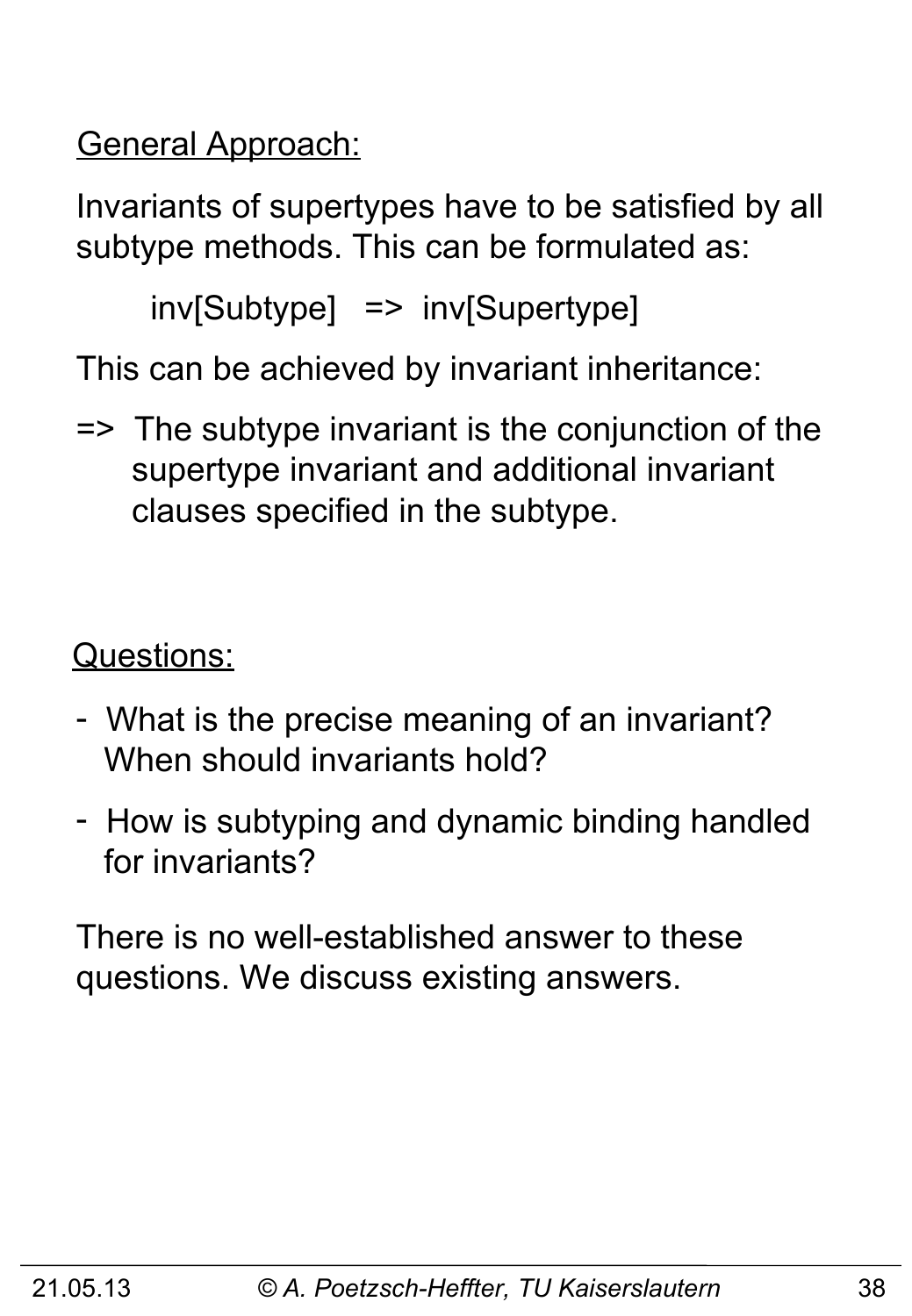General Approach:

Invariants of supertypes have to be satisfied by all subtype methods. This can be formulated as:

inv[Subtype] => inv[Supertype]

This can be achieved by invariant inheritance:

=> The subtype invariant is the conjunction of the supertype invariant and additional invariant clauses specified in the subtype.

Questions:

- What is the precise meaning of an invariant? When should invariants hold?
- How is subtyping and dynamic binding handled for invariants?

There is no well-established answer to these questions. We discuss existing answers.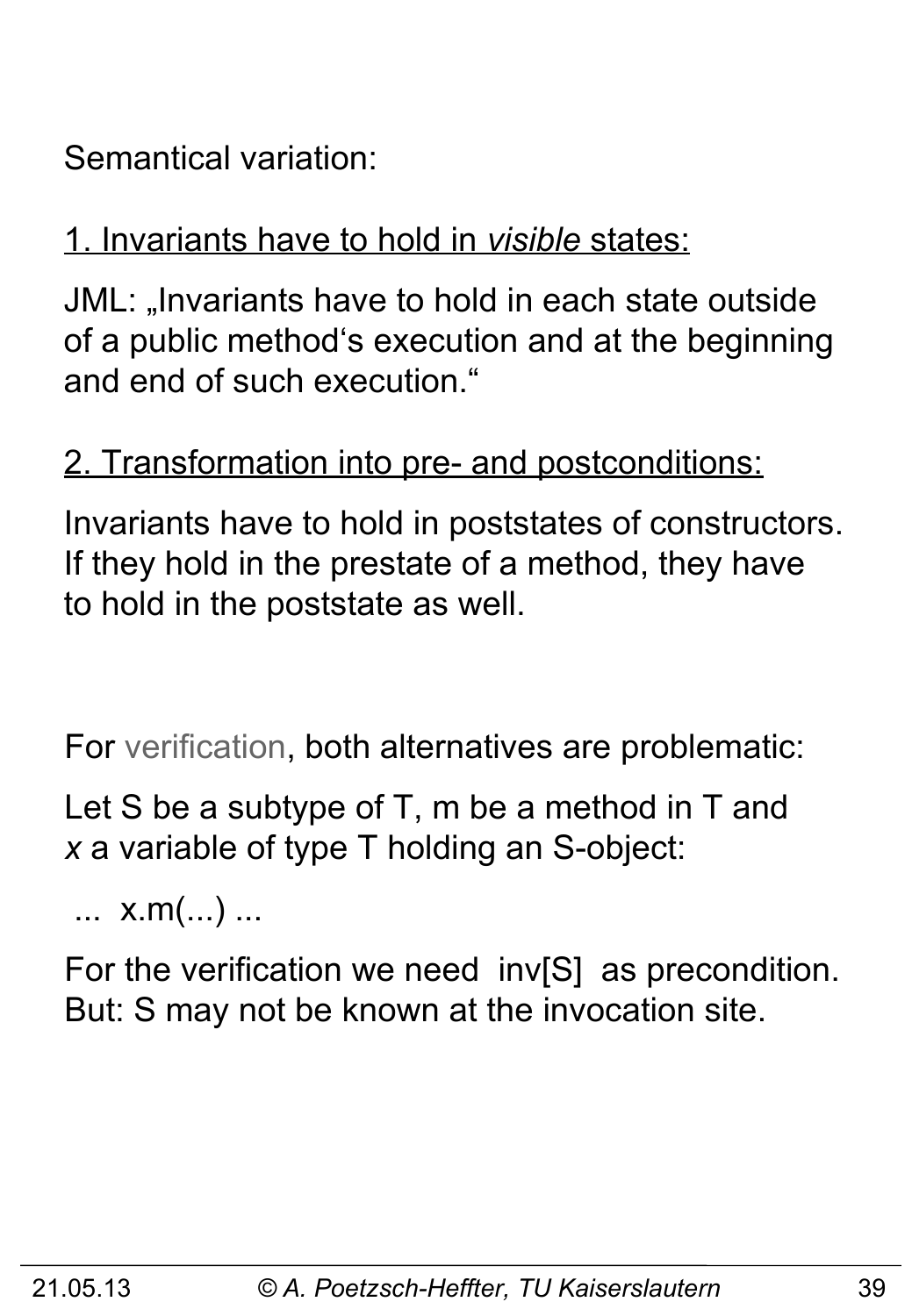Semantical variation:

#### 1. Invariants have to hold in *visible* states:

JML: "Invariants have to hold in each state outside of a public method's execution and at the beginning and end of such execution."

#### 2. Transformation into pre- and postconditions:

Invariants have to hold in poststates of constructors. If they hold in the prestate of a method, they have to hold in the poststate as well.

For verification, both alternatives are problematic:

Let S be a subtype of T, m be a method in T and *x* a variable of type T holding an S-object:

... x.m(...) ...

For the verification we need inv[S] as precondition. But: S may not be known at the invocation site.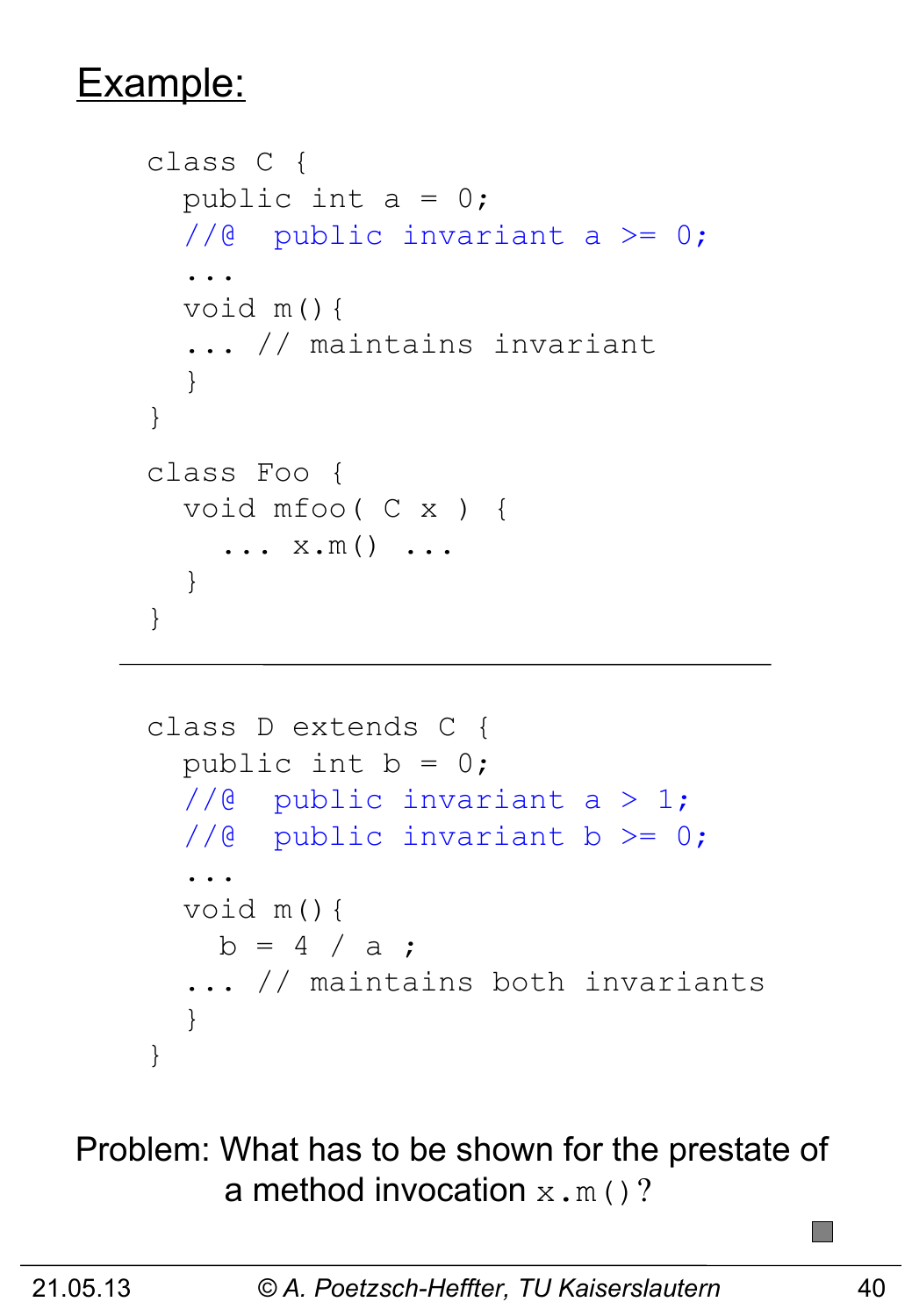#### Example:

```
class C { 
  public int a = 0;
  //@ public invariant a >= 0;
   ...
   void m(){ 
   ... // maintains invariant
   } 
}
class Foo { 
   void mfoo( C x ) {
    \ldots x.m() \ldots }
}
```

```
class D extends C { 
  public int b = 0;
  1/@ public invariant a > 1;
  //@ public invariant b >= 0;
   ...
   void m(){ 
   b = 4 / a ;
   ... // maintains both invariants
   }
}
```
Problem: What has to be shown for the prestate of a method invocation  $x \cdot m()$ ?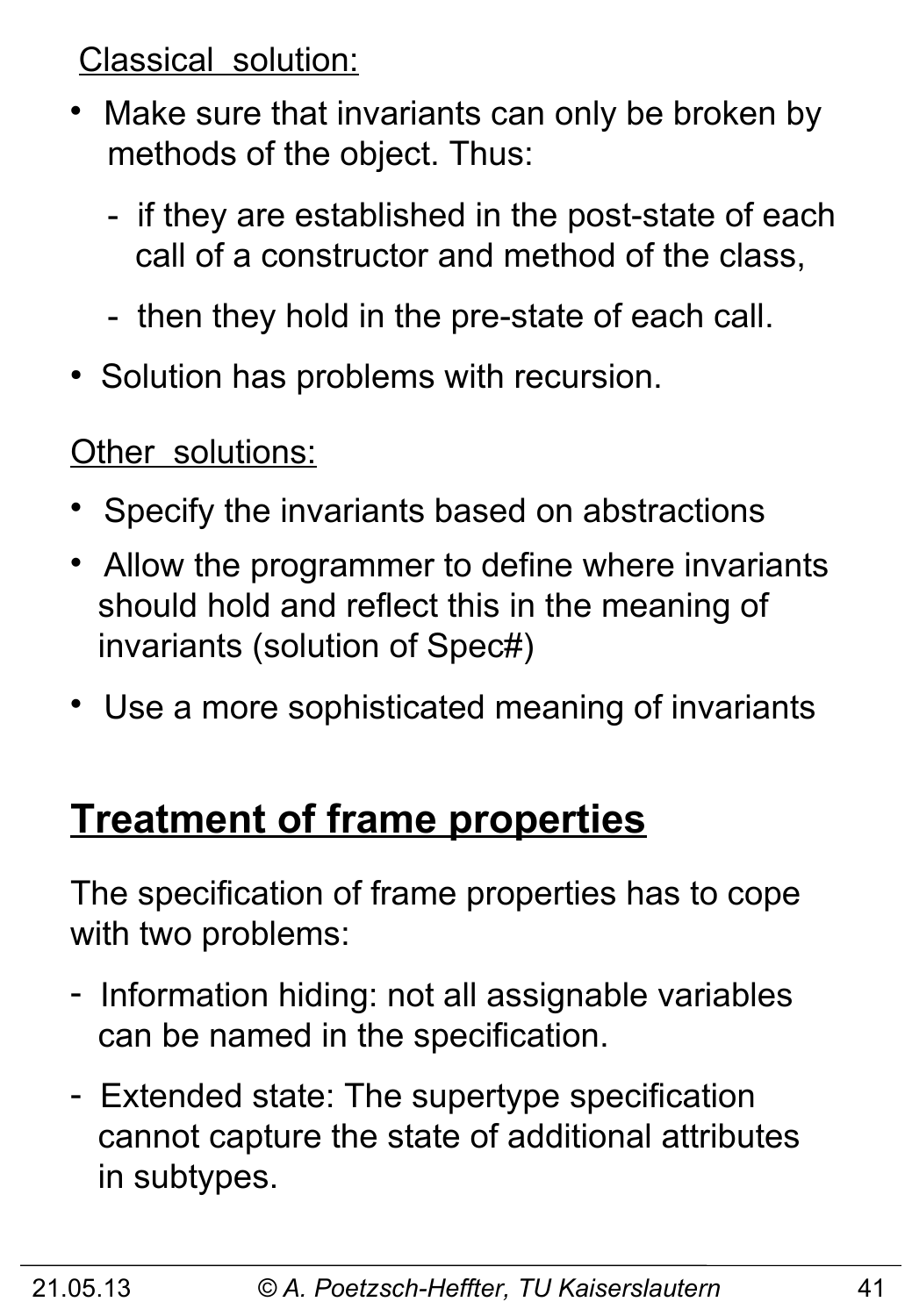Classical solution:

- Make sure that invariants can only be broken by methods of the object. Thus:
	- if they are established in the post-state of each call of a constructor and method of the class,
	- then they hold in the pre-state of each call.
- Solution has problems with recursion.

Other solutions:

- Specify the invariants based on abstractions
- Allow the programmer to define where invariants should hold and reflect this in the meaning of invariants (solution of Spec#)
- Use a more sophisticated meaning of invariants

### **Treatment of frame properties**

The specification of frame properties has to cope with two problems:

- Information hiding: not all assignable variables can be named in the specification.
- Extended state: The supertype specification cannot capture the state of additional attributes in subtypes.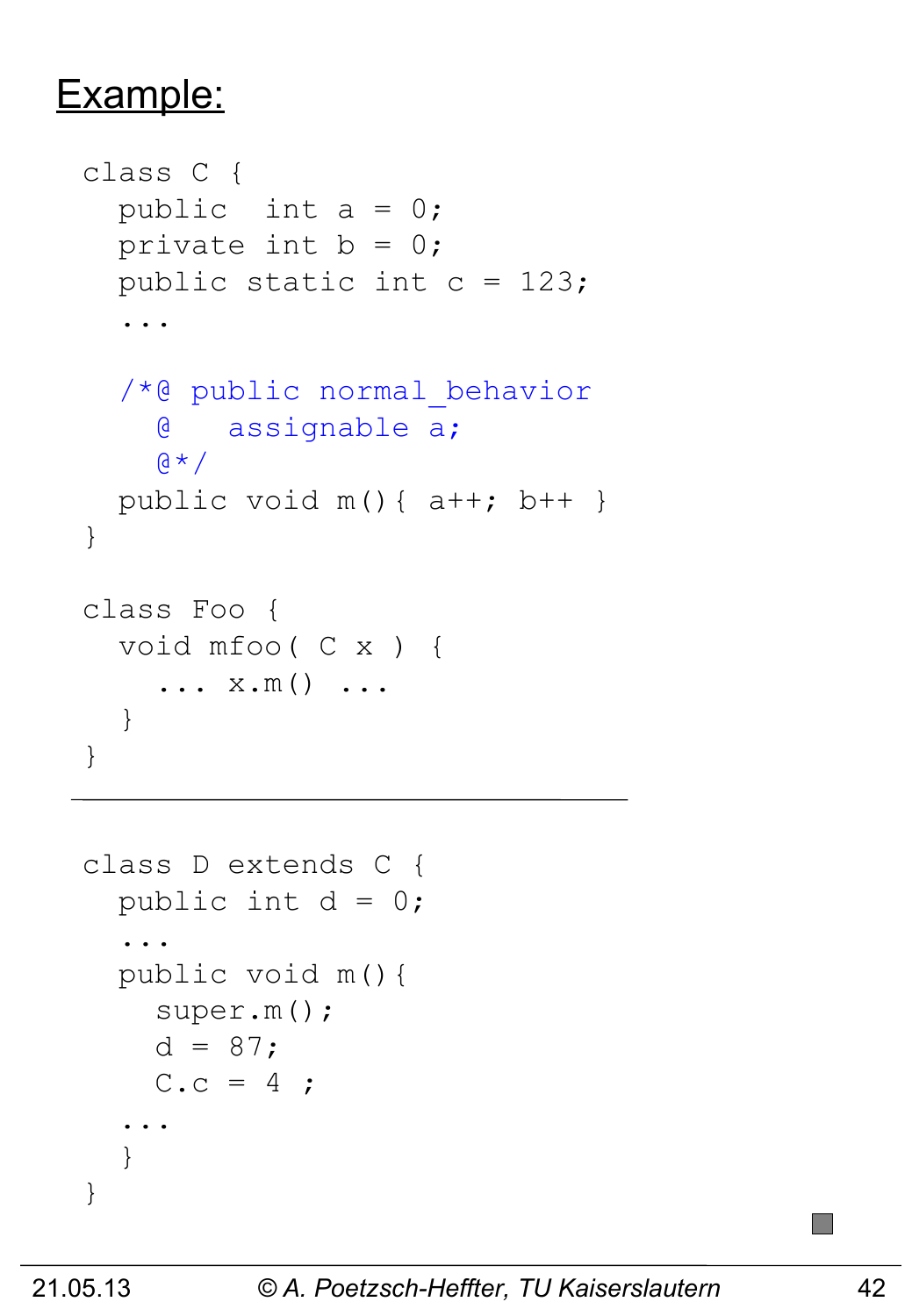#### Example:

```
class C { 
  public int a = 0;
  private int b = 0;
  public static int c = 123;
   ...
   /*@ public normal_behavior
     @ assignable a;
    Q \star /public void m() { a++; b++ }
}
class Foo { 
   void mfoo( C x ) {
    \ldots x.m() \ldots }
}
```

```
class D extends C { 
  public int d = 0;
   ...
   public void m(){ 
     super.m();
    d = 87;C.c = 4; ...
   }
}
```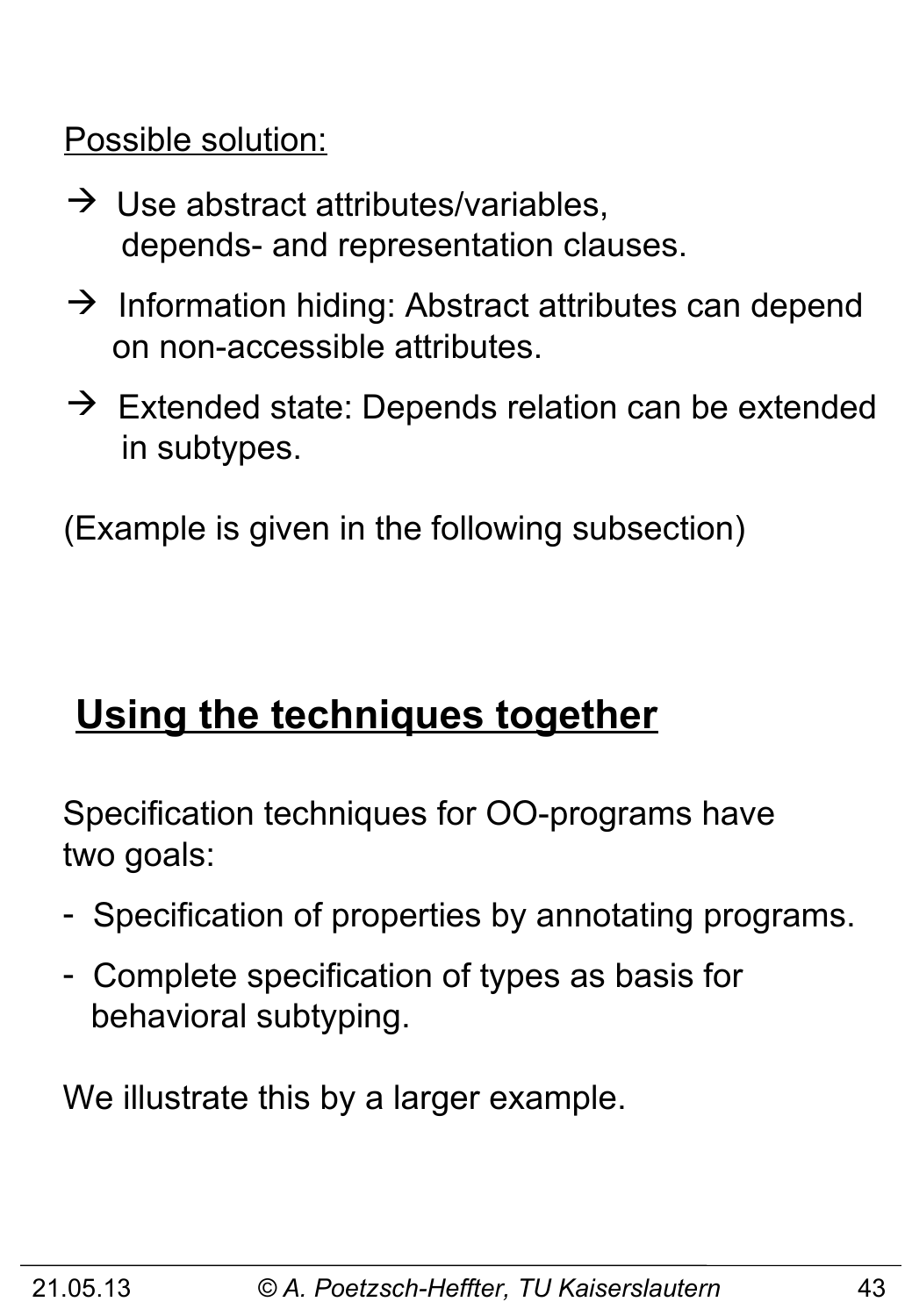Possible solution:

- $\rightarrow$  Use abstract attributes/variables, depends- and representation clauses.
- $\rightarrow$  Information hiding: Abstract attributes can depend on non-accessible attributes.
- $\rightarrow$  Extended state: Depends relation can be extended in subtypes.

(Example is given in the following subsection)

# **Using the techniques together**

Specification techniques for OO-programs have two goals:

- Specification of properties by annotating programs.
- Complete specification of types as basis for behavioral subtyping.

We illustrate this by a larger example.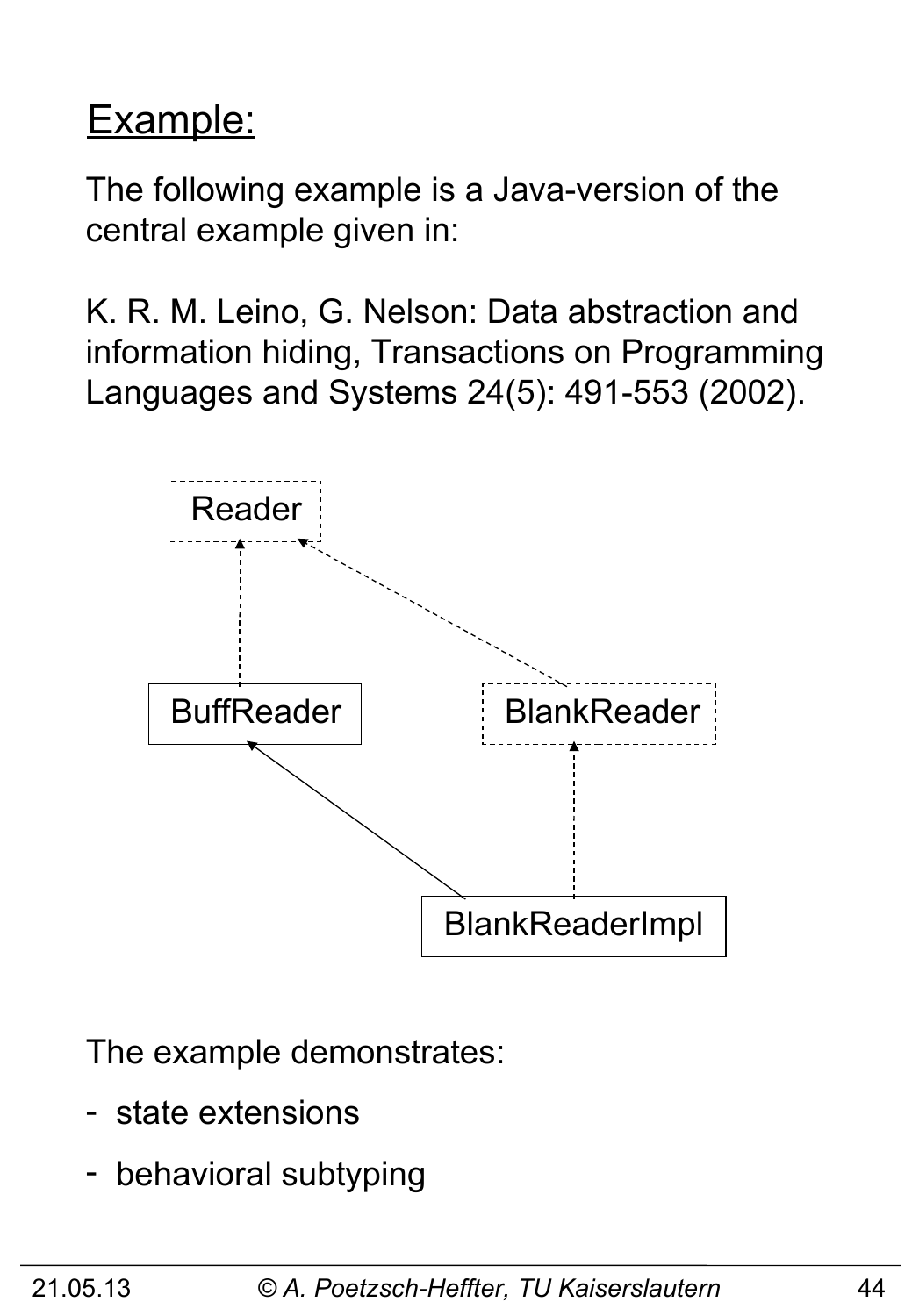# Example:

The following example is a Java-version of the central example given in:

K. R. M. Leino, G. Nelson: Data abstraction and information hiding, Transactions on Programming Languages and Systems 24(5): 491-553 (2002).



The example demonstrates:

- state extensions
- behavioral subtyping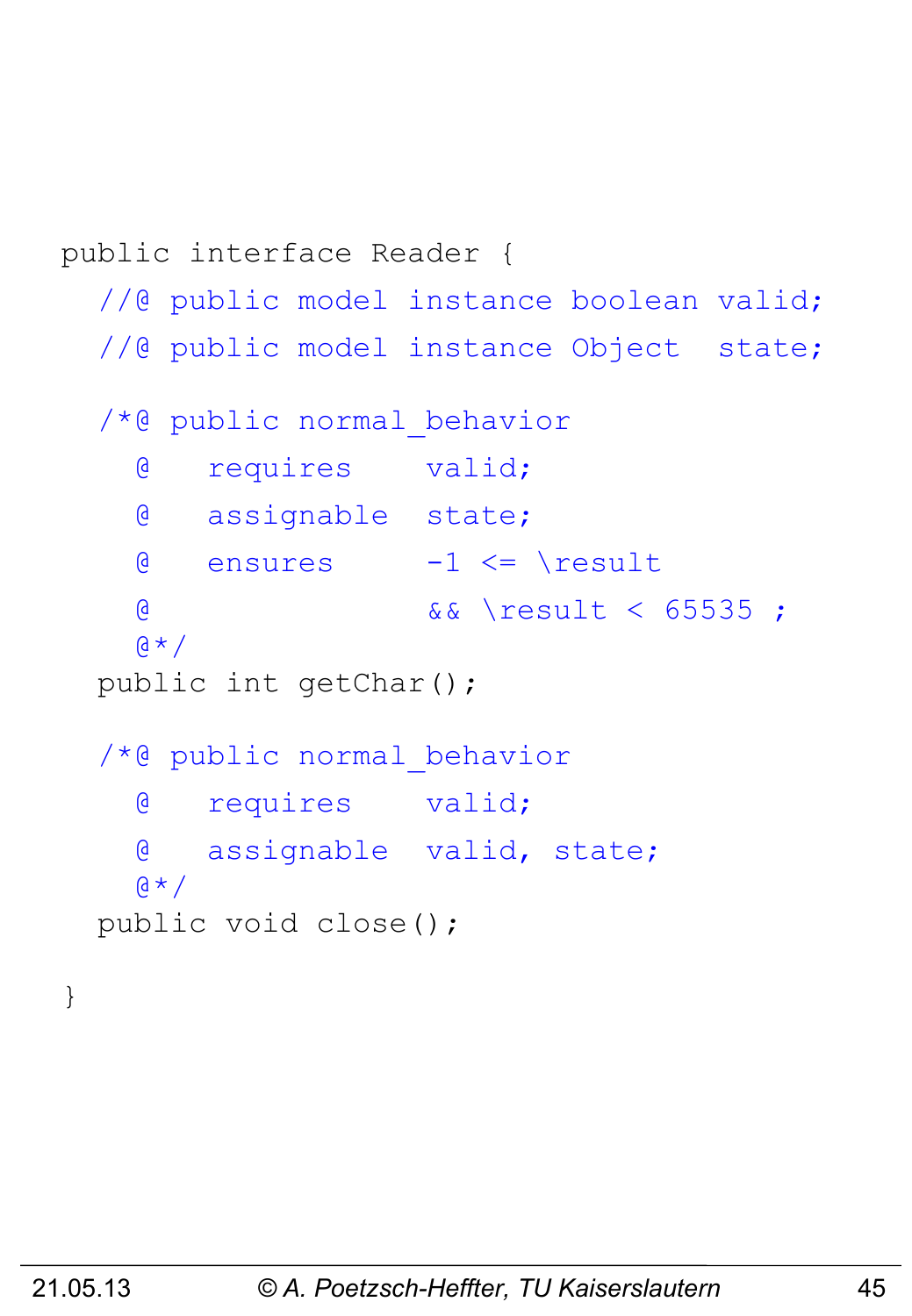```
public interface Reader {
  //@ public model instance boolean valid;
  //@ public model instance Object state;
   /*@ public normal_behavior
     @ requires valid;
     @ assignable state;
    \theta ensures -1 <= \result
     @ && \result < 65535 ;
    \alpha \star / public int getChar();
   /*@ public normal_behavior
     @ requires valid;
     @ assignable valid, state;
    \alpha \star / public void close();
}
```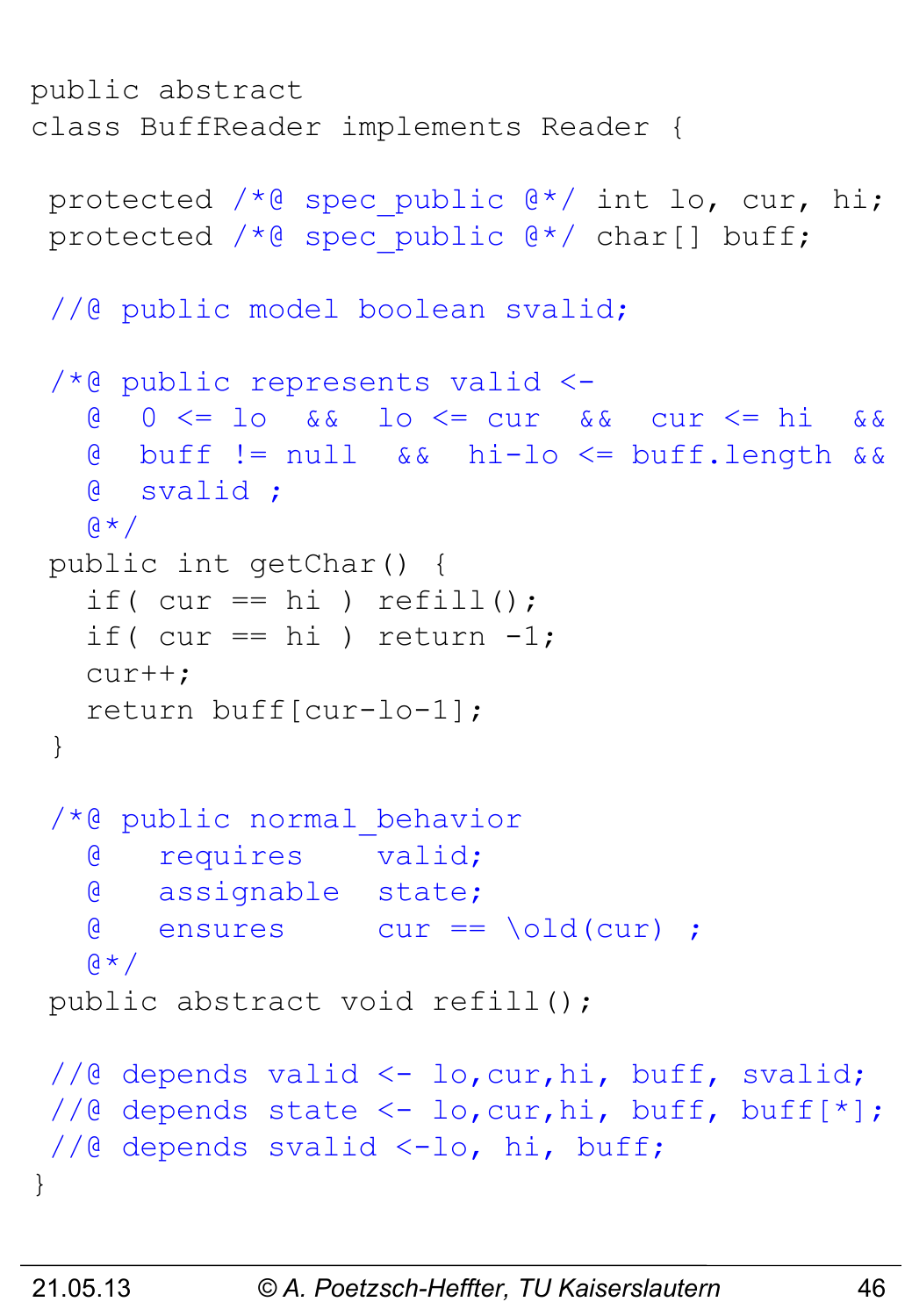```
public abstract 
class BuffReader implements Reader {
 protected /*@ spec public @*/ int lo, cur, hi;
 protected /*@ spec public @*/ char[] buff;
 //@ public model boolean svalid;
 /*@ public represents valid <-
    @ 0 <= lo && lo <= cur && cur <= hi &&
    @ buff != null && hi-lo <= buff.length &&
    @ svalid ;
   \alpha \star /public int getChar() {
   if( cur == hi) refill();
   if( cur == hi) return -1;
    cur++;
    return buff[cur-lo-1];
 }
 /*@ public normal_behavior
    @ requires valid;
    @ assignable state;
    @ ensures cur == \old(cur) ;
   \mathfrak{g} \star /public abstract void refill();
 //@ depends valid <- lo,cur,hi, buff, svalid;
 //@ depends state \langle -\right] lo, cur, hi, buff, buff[*];
 //@ depends svalid <-lo, hi, buff;
}
```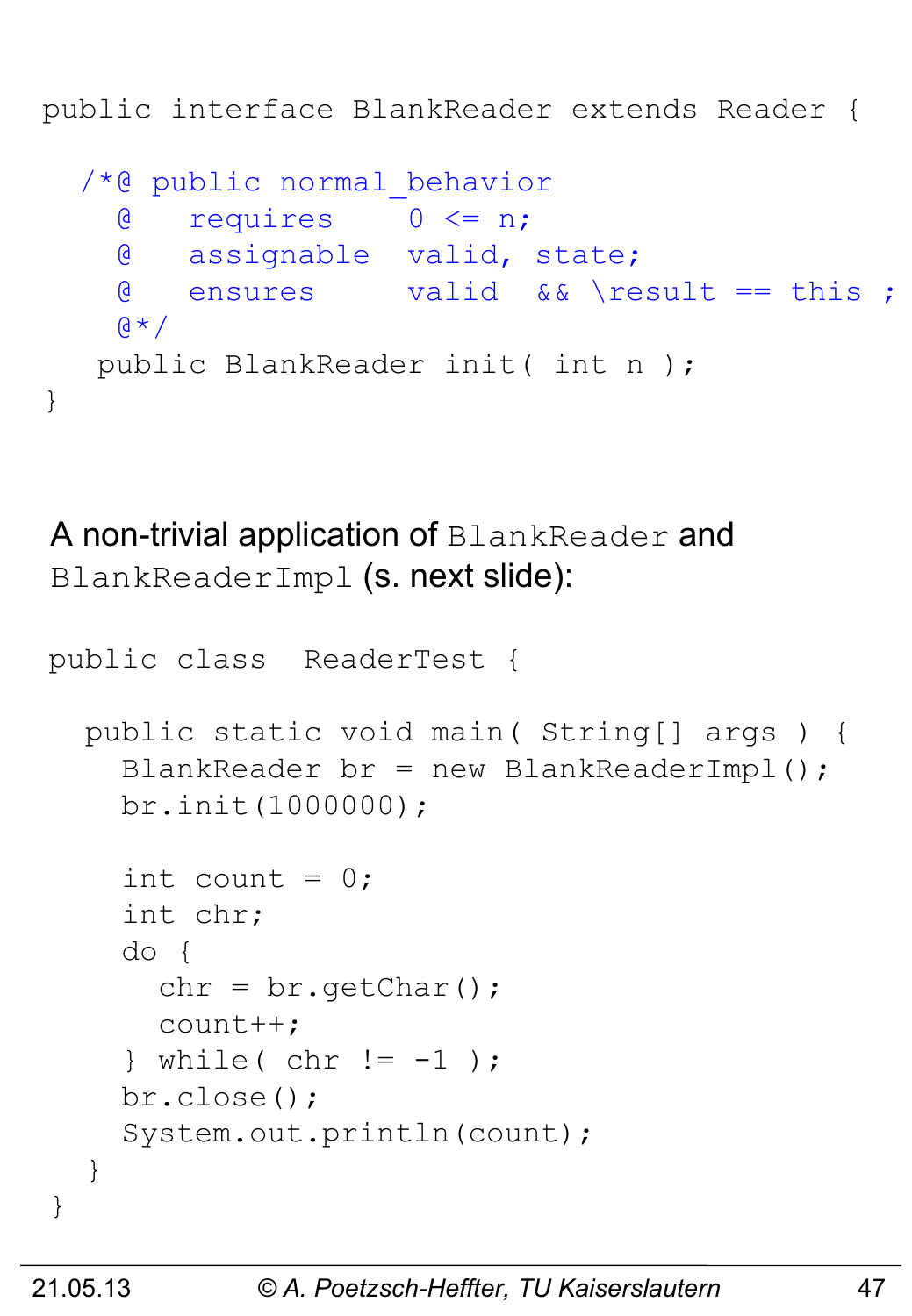public interface BlankReader extends Reader {

```
 /*@ public normal_behavior
   @ requires 0 <= n;
   @ assignable valid, state;
   @ ensures valid && \result == this ;
  \mathfrak{g} \star / public BlankReader init( int n );
```
A non-trivial application of BlankReader and BlankReaderImpl (s. next slide):

```
public class ReaderTest {
   public static void main( String[] args ) {
    BlankReader br = new BlankReaderImpl();
     br.init(1000000);
    int count = 0;
     int chr;
     do {
      chr = br.getChar();
      count++;
    \} while( chr != -1 );
     br.close();
     System.out.println(count);
   } 
}
```
}